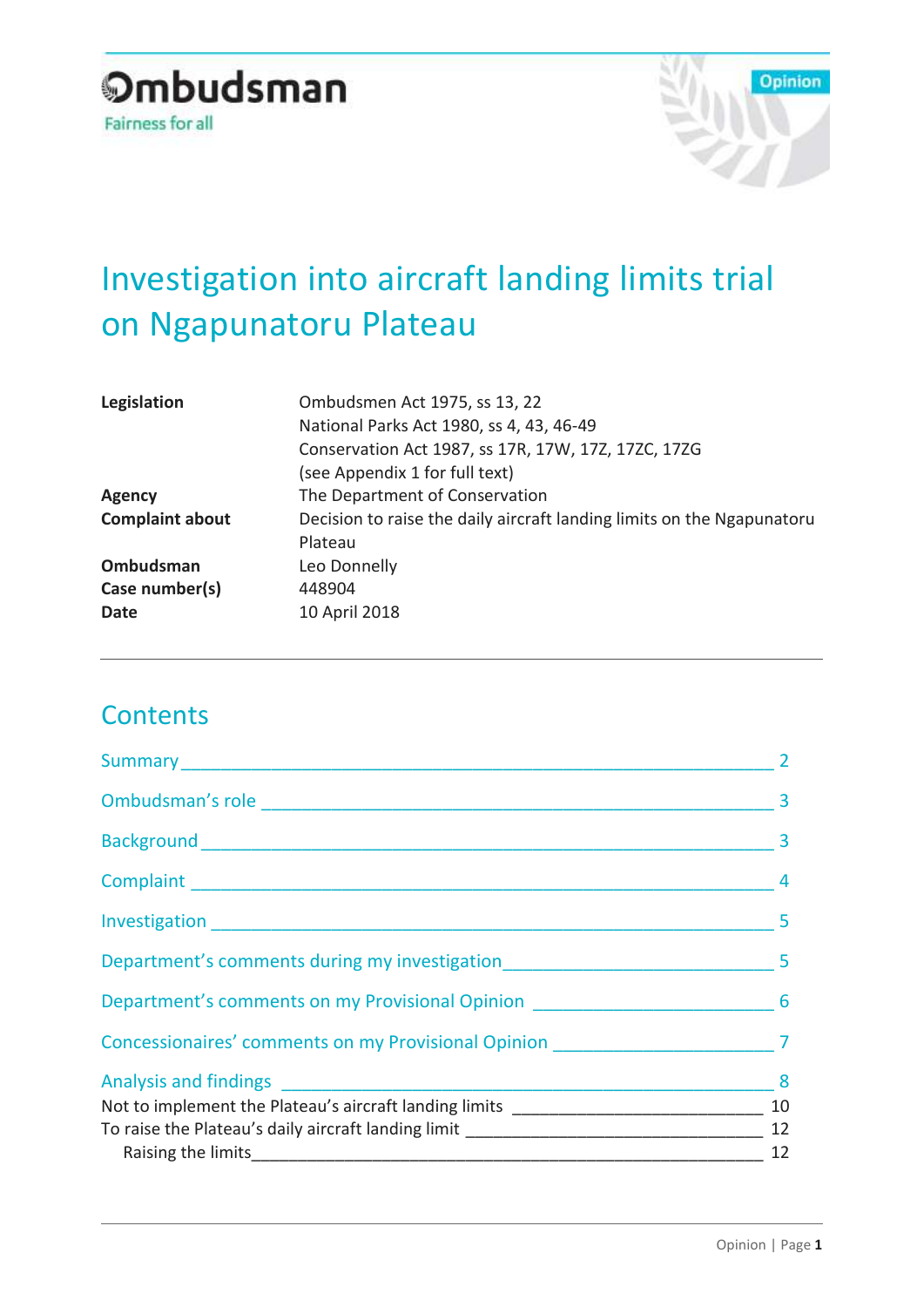# **Ombudsman** Fairness for all



# Investigation into aircraft landing limits trial on Ngapunatoru Plateau

| Legislation            | Ombudsmen Act 1975, ss 13, 22                                          |  |  |
|------------------------|------------------------------------------------------------------------|--|--|
|                        | National Parks Act 1980, ss 4, 43, 46-49                               |  |  |
|                        | Conservation Act 1987, ss 17R, 17W, 17Z, 17ZC, 17ZG                    |  |  |
|                        | (see Appendix 1 for full text)                                         |  |  |
| <b>Agency</b>          | The Department of Conservation                                         |  |  |
| <b>Complaint about</b> | Decision to raise the daily aircraft landing limits on the Ngapunatoru |  |  |
|                        | Plateau                                                                |  |  |
| Ombudsman              | Leo Donnelly                                                           |  |  |
| Case number(s)         | 448904                                                                 |  |  |
| Date                   | 10 April 2018                                                          |  |  |
|                        |                                                                        |  |  |

# **Contents**

|                                                                                     | 3  |
|-------------------------------------------------------------------------------------|----|
|                                                                                     |    |
|                                                                                     |    |
| Department's comments during my investigation___________________________________5   |    |
| Department's comments on my Provisional Opinion _________________________________ 6 |    |
|                                                                                     |    |
|                                                                                     |    |
| Not to implement the Plateau's aircraft landing limits __________________________   | 10 |
|                                                                                     |    |
|                                                                                     | 12 |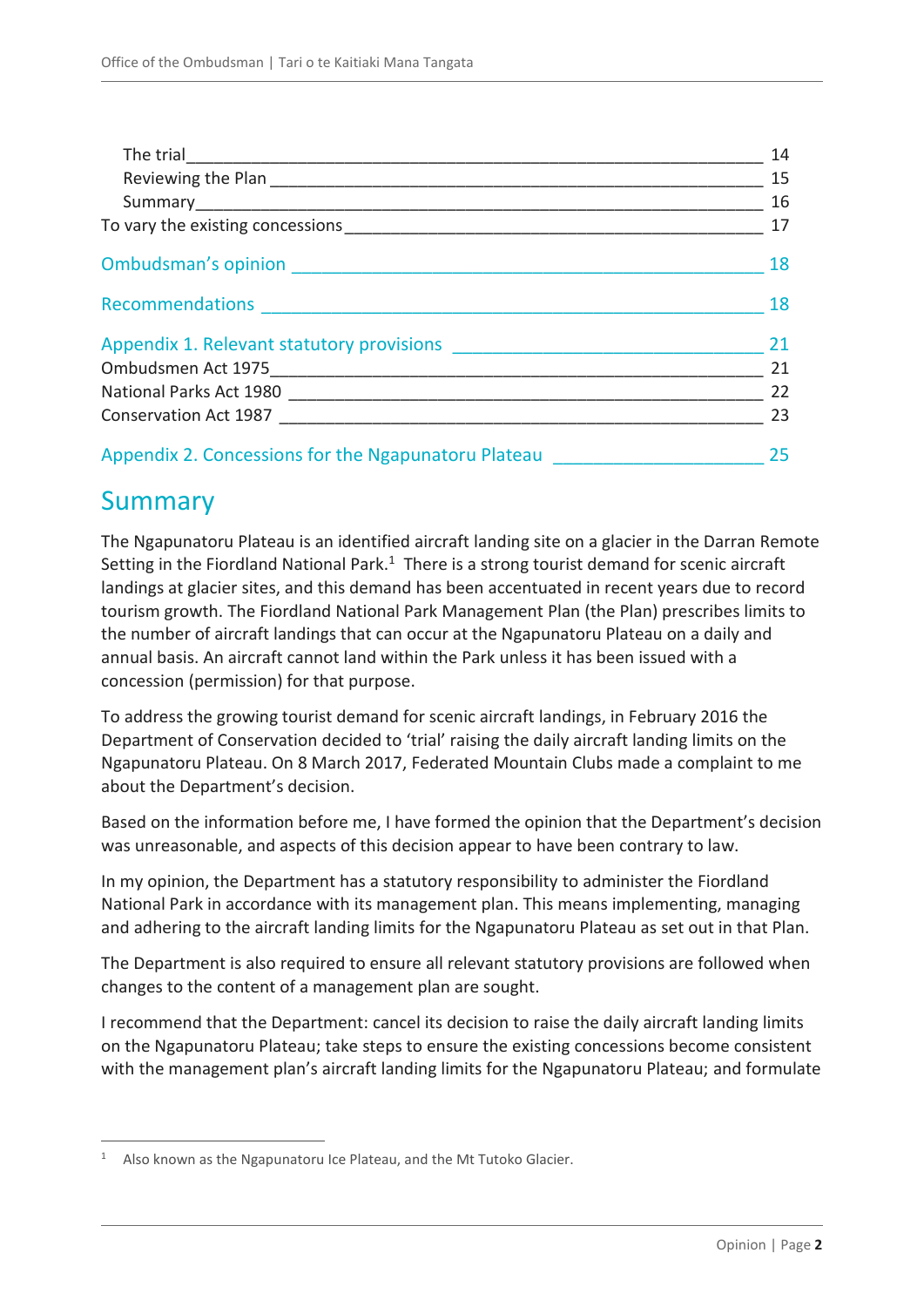|                                                                                            | 14 |
|--------------------------------------------------------------------------------------------|----|
|                                                                                            | 15 |
|                                                                                            | 16 |
|                                                                                            | 17 |
|                                                                                            | 18 |
|                                                                                            | 18 |
| Appendix 1. Relevant statutory provisions <b>Appendix 1. Relevant statutory provisions</b> | 21 |
|                                                                                            | 21 |
|                                                                                            | 22 |
|                                                                                            | 23 |
| Appendix 2. Concessions for the Ngapunatoru Plateau                                        | 25 |

# <span id="page-1-0"></span>Summary

 $\overline{a}$ 

The Ngapunatoru Plateau is an identified aircraft landing site on a glacier in the Darran Remote Setting in the Fiordland National Park. $1$  There is a strong tourist demand for scenic aircraft landings at glacier sites, and this demand has been accentuated in recent years due to record tourism growth. The Fiordland National Park Management Plan (the Plan) prescribes limits to the number of aircraft landings that can occur at the Ngapunatoru Plateau on a daily and annual basis. An aircraft cannot land within the Park unless it has been issued with a concession (permission) for that purpose.

To address the growing tourist demand for scenic aircraft landings, in February 2016 the Department of Conservation decided to 'trial' raising the daily aircraft landing limits on the Ngapunatoru Plateau. On 8 March 2017, Federated Mountain Clubs made a complaint to me about the Department's decision.

Based on the information before me, I have formed the opinion that the Department's decision was unreasonable, and aspects of this decision appear to have been contrary to law.

In my opinion, the Department has a statutory responsibility to administer the Fiordland National Park in accordance with its management plan. This means implementing, managing and adhering to the aircraft landing limits for the Ngapunatoru Plateau as set out in that Plan.

The Department is also required to ensure all relevant statutory provisions are followed when changes to the content of a management plan are sought.

I recommend that the Department: cancel its decision to raise the daily aircraft landing limits on the Ngapunatoru Plateau; take steps to ensure the existing concessions become consistent with the management plan's aircraft landing limits for the Ngapunatoru Plateau; and formulate

 $1$  Also known as the Ngapunatoru Ice Plateau, and the Mt Tutoko Glacier.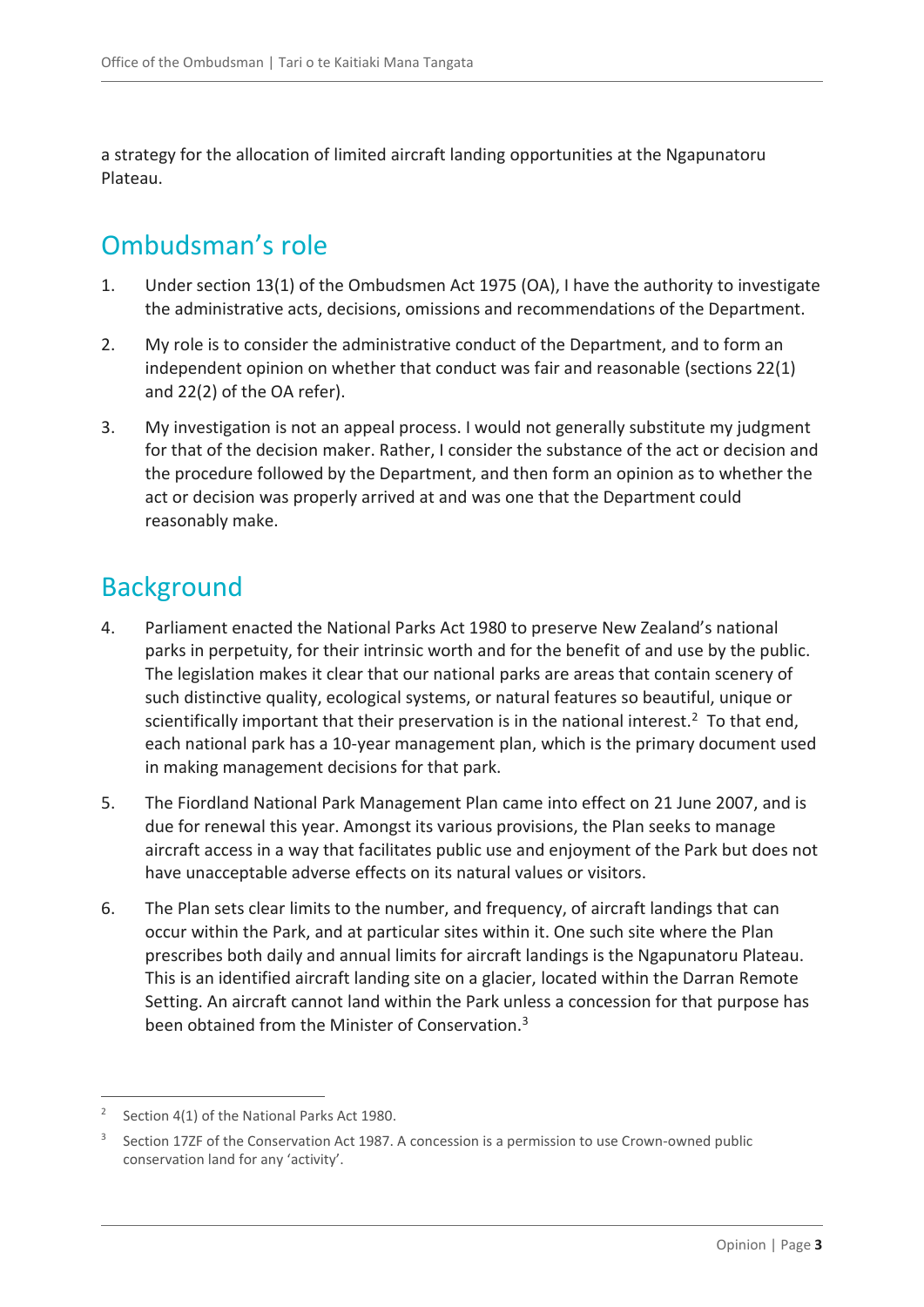a strategy for the allocation of limited aircraft landing opportunities at the Ngapunatoru Plateau.

# <span id="page-2-0"></span>Ombudsman's role

- 1. Under section 13(1) of the Ombudsmen Act 1975 (OA), I have the authority to investigate the administrative acts, decisions, omissions and recommendations of the Department.
- 2. My role is to consider the administrative conduct of the Department, and to form an independent opinion on whether that conduct was fair and reasonable (sections 22(1) and 22(2) of the OA refer).
- 3. My investigation is not an appeal process. I would not generally substitute my judgment for that of the decision maker. Rather, I consider the substance of the act or decision and the procedure followed by the Department, and then form an opinion as to whether the act or decision was properly arrived at and was one that the Department could reasonably make.

# <span id="page-2-1"></span>Background

- 4. Parliament enacted the National Parks Act 1980 to preserve New Zealand's national parks in perpetuity, for their intrinsic worth and for the benefit of and use by the public. The legislation makes it clear that our national parks are areas that contain scenery of such distinctive quality, ecological systems, or natural features so beautiful, unique or scientifically important that their preservation is in the national interest.<sup>2</sup> To that end, each national park has a 10-year management plan, which is the primary document used in making management decisions for that park.
- 5. The Fiordland National Park Management Plan came into effect on 21 June 2007, and is due for renewal this year. Amongst its various provisions, the Plan seeks to manage aircraft access in a way that facilitates public use and enjoyment of the Park but does not have unacceptable adverse effects on its natural values or visitors.
- 6. The Plan sets clear limits to the number, and frequency, of aircraft landings that can occur within the Park, and at particular sites within it. One such site where the Plan prescribes both daily and annual limits for aircraft landings is the Ngapunatoru Plateau. This is an identified aircraft landing site on a glacier, located within the Darran Remote Setting. An aircraft cannot land within the Park unless a concession for that purpose has been obtained from the Minister of Conservation.<sup>3</sup>

<sup>2</sup> Section 4(1) of the National Parks Act 1980.

<sup>3</sup> Section 17ZF of the Conservation Act 1987. A concession is a permission to use Crown-owned public conservation land for any 'activity'.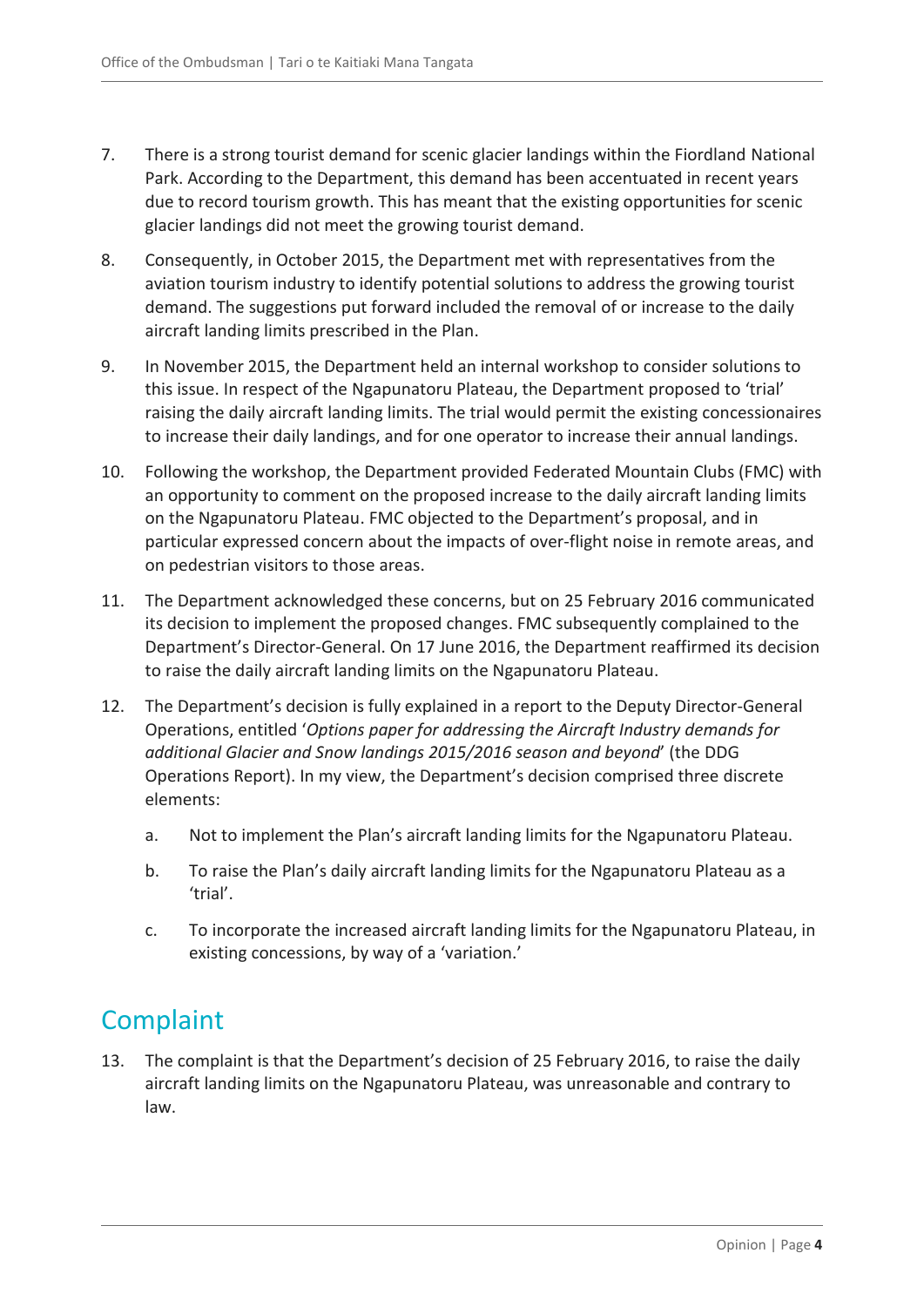- 7. There is a strong tourist demand for scenic glacier landings within the Fiordland National Park. According to the Department, this demand has been accentuated in recent years due to record tourism growth. This has meant that the existing opportunities for scenic glacier landings did not meet the growing tourist demand.
- 8. Consequently, in October 2015, the Department met with representatives from the aviation tourism industry to identify potential solutions to address the growing tourist demand. The suggestions put forward included the removal of or increase to the daily aircraft landing limits prescribed in the Plan.
- 9. In November 2015, the Department held an internal workshop to consider solutions to this issue. In respect of the Ngapunatoru Plateau, the Department proposed to 'trial' raising the daily aircraft landing limits. The trial would permit the existing concessionaires to increase their daily landings, and for one operator to increase their annual landings.
- 10. Following the workshop, the Department provided Federated Mountain Clubs (FMC) with an opportunity to comment on the proposed increase to the daily aircraft landing limits on the Ngapunatoru Plateau. FMC objected to the Department's proposal, and in particular expressed concern about the impacts of over-flight noise in remote areas, and on pedestrian visitors to those areas.
- 11. The Department acknowledged these concerns, but on 25 February 2016 communicated its decision to implement the proposed changes. FMC subsequently complained to the Department's Director-General. On 17 June 2016, the Department reaffirmed its decision to raise the daily aircraft landing limits on the Ngapunatoru Plateau.
- 12. The Department's decision is fully explained in a report to the Deputy Director-General Operations, entitled '*Options paper for addressing the Aircraft Industry demands for additional Glacier and Snow landings 2015/2016 season and beyond*' (the DDG Operations Report). In my view, the Department's decision comprised three discrete elements:
	- a. Not to implement the Plan's aircraft landing limits for the Ngapunatoru Plateau.
	- b. To raise the Plan's daily aircraft landing limits for the Ngapunatoru Plateau as a 'trial'.
	- c. To incorporate the increased aircraft landing limits for the Ngapunatoru Plateau, in existing concessions, by way of a 'variation.'

# <span id="page-3-0"></span>**Complaint**

13. The complaint is that the Department's decision of 25 February 2016, to raise the daily aircraft landing limits on the Ngapunatoru Plateau, was unreasonable and contrary to law.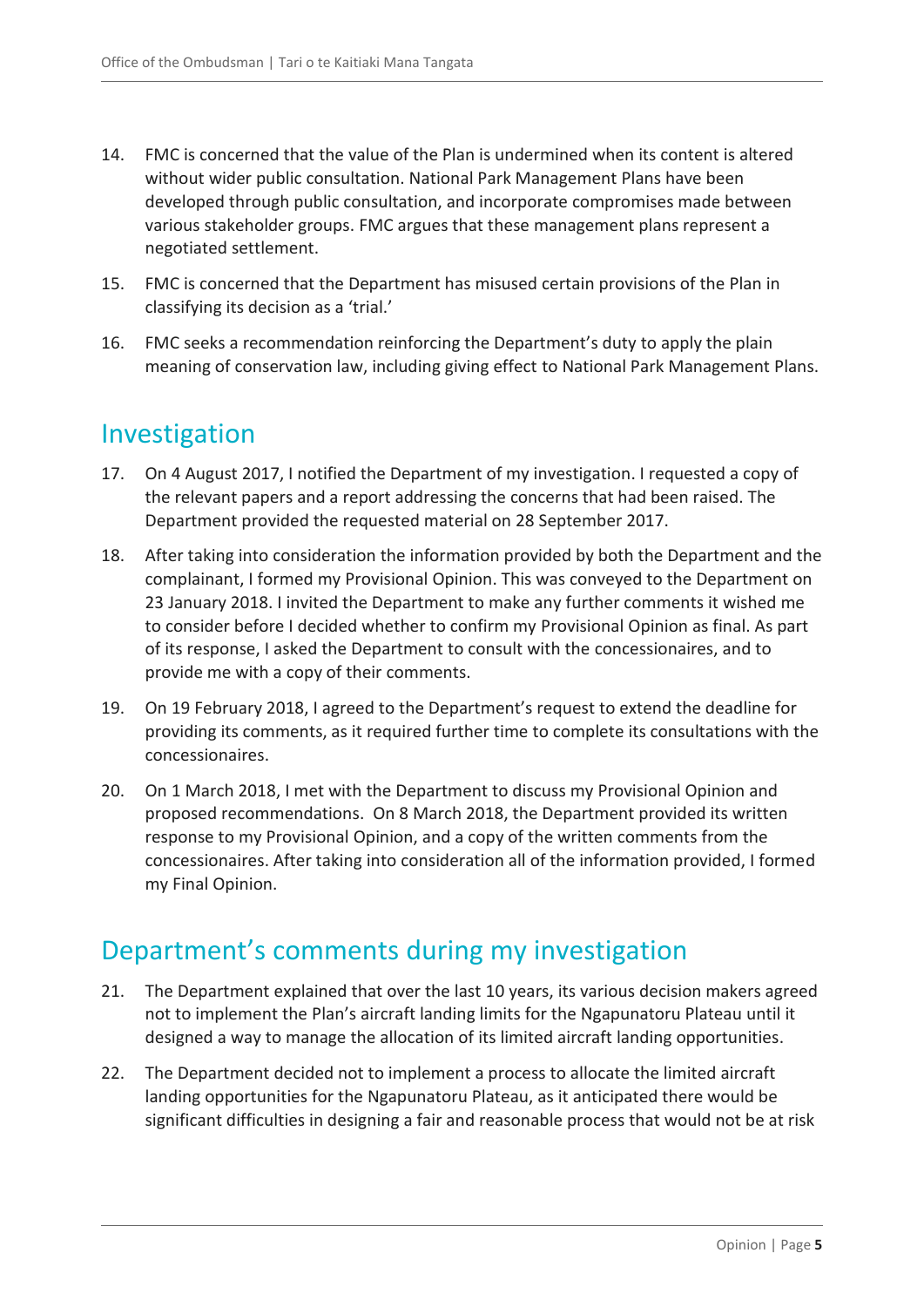- 14. FMC is concerned that the value of the Plan is undermined when its content is altered without wider public consultation. National Park Management Plans have been developed through public consultation, and incorporate compromises made between various stakeholder groups. FMC argues that these management plans represent a negotiated settlement.
- 15. FMC is concerned that the Department has misused certain provisions of the Plan in classifying its decision as a 'trial.'
- 16. FMC seeks a recommendation reinforcing the Department's duty to apply the plain meaning of conservation law, including giving effect to National Park Management Plans.

### <span id="page-4-0"></span>Investigation

- 17. On 4 August 2017, I notified the Department of my investigation. I requested a copy of the relevant papers and a report addressing the concerns that had been raised. The Department provided the requested material on 28 September 2017.
- 18. After taking into consideration the information provided by both the Department and the complainant, I formed my Provisional Opinion. This was conveyed to the Department on 23 January 2018. I invited the Department to make any further comments it wished me to consider before I decided whether to confirm my Provisional Opinion as final. As part of its response, I asked the Department to consult with the concessionaires, and to provide me with a copy of their comments.
- 19. On 19 February 2018, I agreed to the Department's request to extend the deadline for providing its comments, as it required further time to complete its consultations with the concessionaires.
- 20. On 1 March 2018, I met with the Department to discuss my Provisional Opinion and proposed recommendations. On 8 March 2018, the Department provided its written response to my Provisional Opinion, and a copy of the written comments from the concessionaires. After taking into consideration all of the information provided, I formed my Final Opinion.

# <span id="page-4-1"></span>Department's comments during my investigation

- 21. The Department explained that over the last 10 years, its various decision makers agreed not to implement the Plan's aircraft landing limits for the Ngapunatoru Plateau until it designed a way to manage the allocation of its limited aircraft landing opportunities.
- 22. The Department decided not to implement a process to allocate the limited aircraft landing opportunities for the Ngapunatoru Plateau, as it anticipated there would be significant difficulties in designing a fair and reasonable process that would not be at risk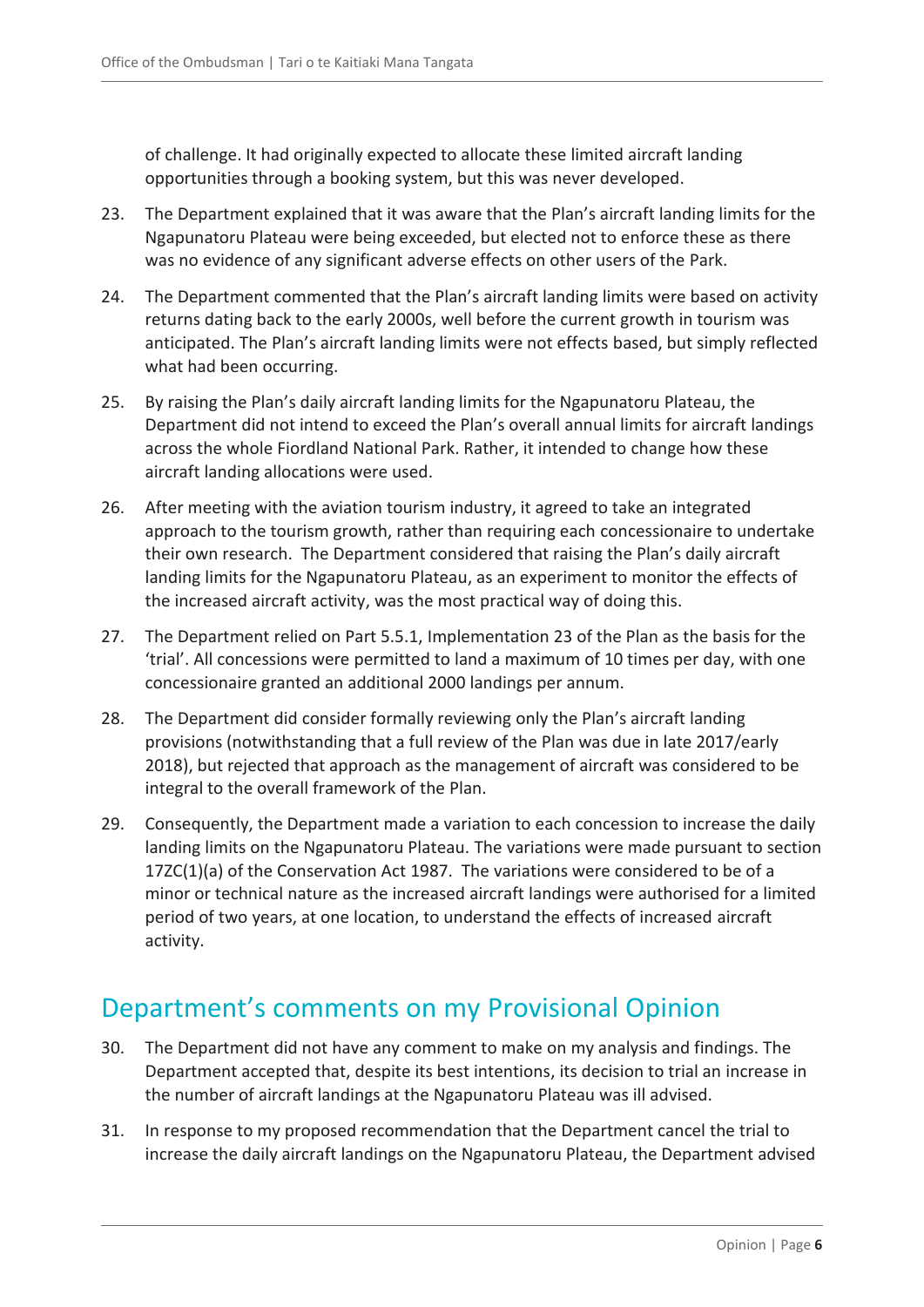of challenge. It had originally expected to allocate these limited aircraft landing opportunities through a booking system, but this was never developed.

- 23. The Department explained that it was aware that the Plan's aircraft landing limits for the Ngapunatoru Plateau were being exceeded, but elected not to enforce these as there was no evidence of any significant adverse effects on other users of the Park.
- 24. The Department commented that the Plan's aircraft landing limits were based on activity returns dating back to the early 2000s, well before the current growth in tourism was anticipated. The Plan's aircraft landing limits were not effects based, but simply reflected what had been occurring.
- 25. By raising the Plan's daily aircraft landing limits for the Ngapunatoru Plateau, the Department did not intend to exceed the Plan's overall annual limits for aircraft landings across the whole Fiordland National Park. Rather, it intended to change how these aircraft landing allocations were used.
- 26. After meeting with the aviation tourism industry, it agreed to take an integrated approach to the tourism growth, rather than requiring each concessionaire to undertake their own research. The Department considered that raising the Plan's daily aircraft landing limits for the Ngapunatoru Plateau, as an experiment to monitor the effects of the increased aircraft activity, was the most practical way of doing this.
- 27. The Department relied on Part 5.5.1, Implementation 23 of the Plan as the basis for the 'trial'. All concessions were permitted to land a maximum of 10 times per day, with one concessionaire granted an additional 2000 landings per annum.
- 28. The Department did consider formally reviewing only the Plan's aircraft landing provisions (notwithstanding that a full review of the Plan was due in late 2017/early 2018), but rejected that approach as the management of aircraft was considered to be integral to the overall framework of the Plan.
- 29. Consequently, the Department made a variation to each concession to increase the daily landing limits on the Ngapunatoru Plateau. The variations were made pursuant to section 17ZC(1)(a) of the Conservation Act 1987. The variations were considered to be of a minor or technical nature as the increased aircraft landings were authorised for a limited period of two years, at one location, to understand the effects of increased aircraft activity.

# <span id="page-5-0"></span>Department's comments on my Provisional Opinion

- 30. The Department did not have any comment to make on my analysis and findings. The Department accepted that, despite its best intentions, its decision to trial an increase in the number of aircraft landings at the Ngapunatoru Plateau was ill advised.
- 31. In response to my proposed recommendation that the Department cancel the trial to increase the daily aircraft landings on the Ngapunatoru Plateau, the Department advised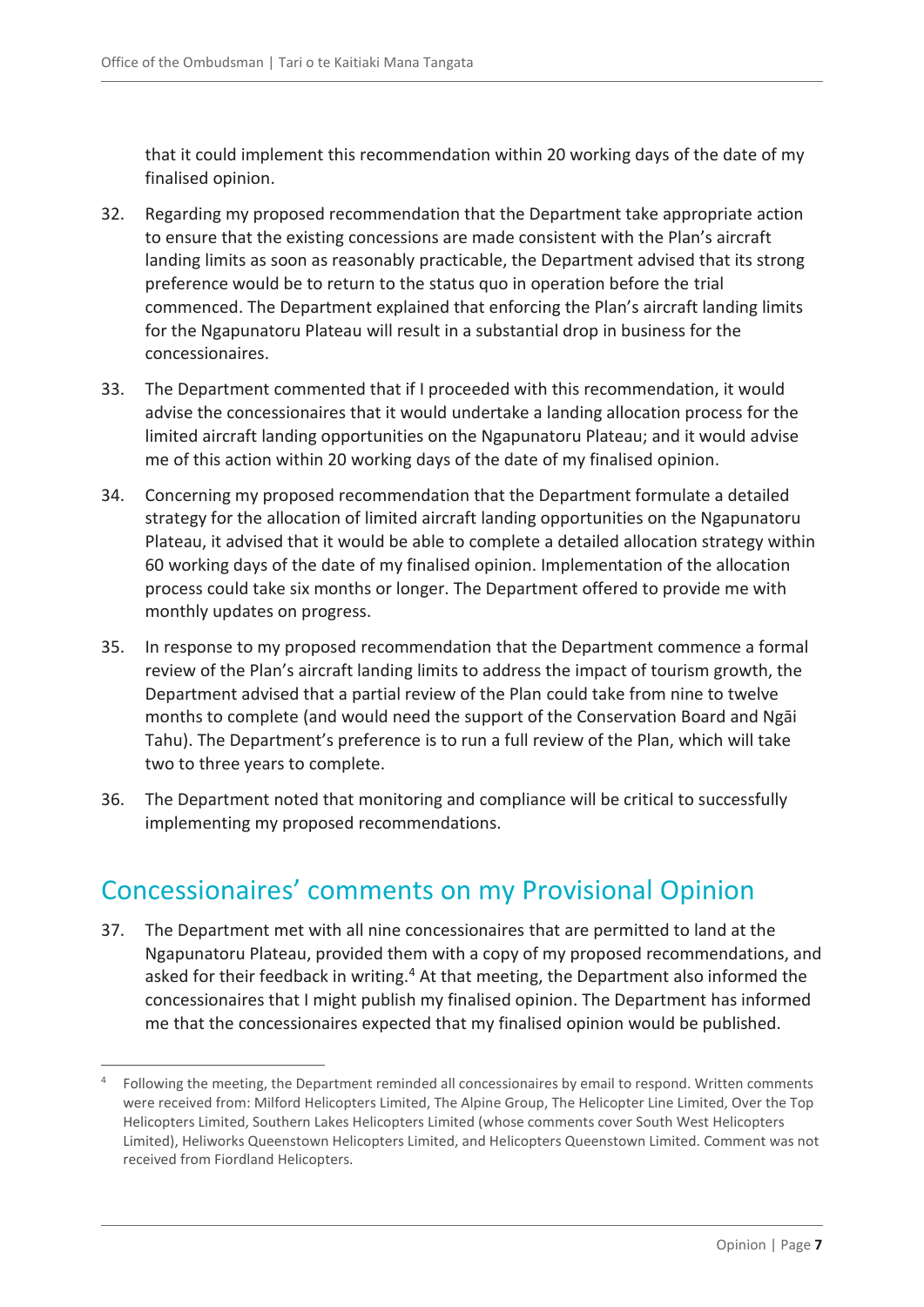that it could implement this recommendation within 20 working days of the date of my finalised opinion.

- 32. Regarding my proposed recommendation that the Department take appropriate action to ensure that the existing concessions are made consistent with the Plan's aircraft landing limits as soon as reasonably practicable, the Department advised that its strong preference would be to return to the status quo in operation before the trial commenced. The Department explained that enforcing the Plan's aircraft landing limits for the Ngapunatoru Plateau will result in a substantial drop in business for the concessionaires.
- 33. The Department commented that if I proceeded with this recommendation, it would advise the concessionaires that it would undertake a landing allocation process for the limited aircraft landing opportunities on the Ngapunatoru Plateau; and it would advise me of this action within 20 working days of the date of my finalised opinion.
- 34. Concerning my proposed recommendation that the Department formulate a detailed strategy for the allocation of limited aircraft landing opportunities on the Ngapunatoru Plateau, it advised that it would be able to complete a detailed allocation strategy within 60 working days of the date of my finalised opinion. Implementation of the allocation process could take six months or longer. The Department offered to provide me with monthly updates on progress.
- 35. In response to my proposed recommendation that the Department commence a formal review of the Plan's aircraft landing limits to address the impact of tourism growth, the Department advised that a partial review of the Plan could take from nine to twelve months to complete (and would need the support of the Conservation Board and Ngāi Tahu). The Department's preference is to run a full review of the Plan, which will take two to three years to complete.
- 36. The Department noted that monitoring and compliance will be critical to successfully implementing my proposed recommendations.

# <span id="page-6-0"></span>Concessionaires' comments on my Provisional Opinion

 $\overline{a}$ 

37. The Department met with all nine concessionaires that are permitted to land at the Ngapunatoru Plateau, provided them with a copy of my proposed recommendations, and asked for their feedback in writing.<sup>4</sup> At that meeting, the Department also informed the concessionaires that I might publish my finalised opinion. The Department has informed me that the concessionaires expected that my finalised opinion would be published.

<sup>4</sup> Following the meeting, the Department reminded all concessionaires by email to respond. Written comments were received from: Milford Helicopters Limited, The Alpine Group, The Helicopter Line Limited, Over the Top Helicopters Limited, Southern Lakes Helicopters Limited (whose comments cover South West Helicopters Limited), Heliworks Queenstown Helicopters Limited, and Helicopters Queenstown Limited. Comment was not received from Fiordland Helicopters.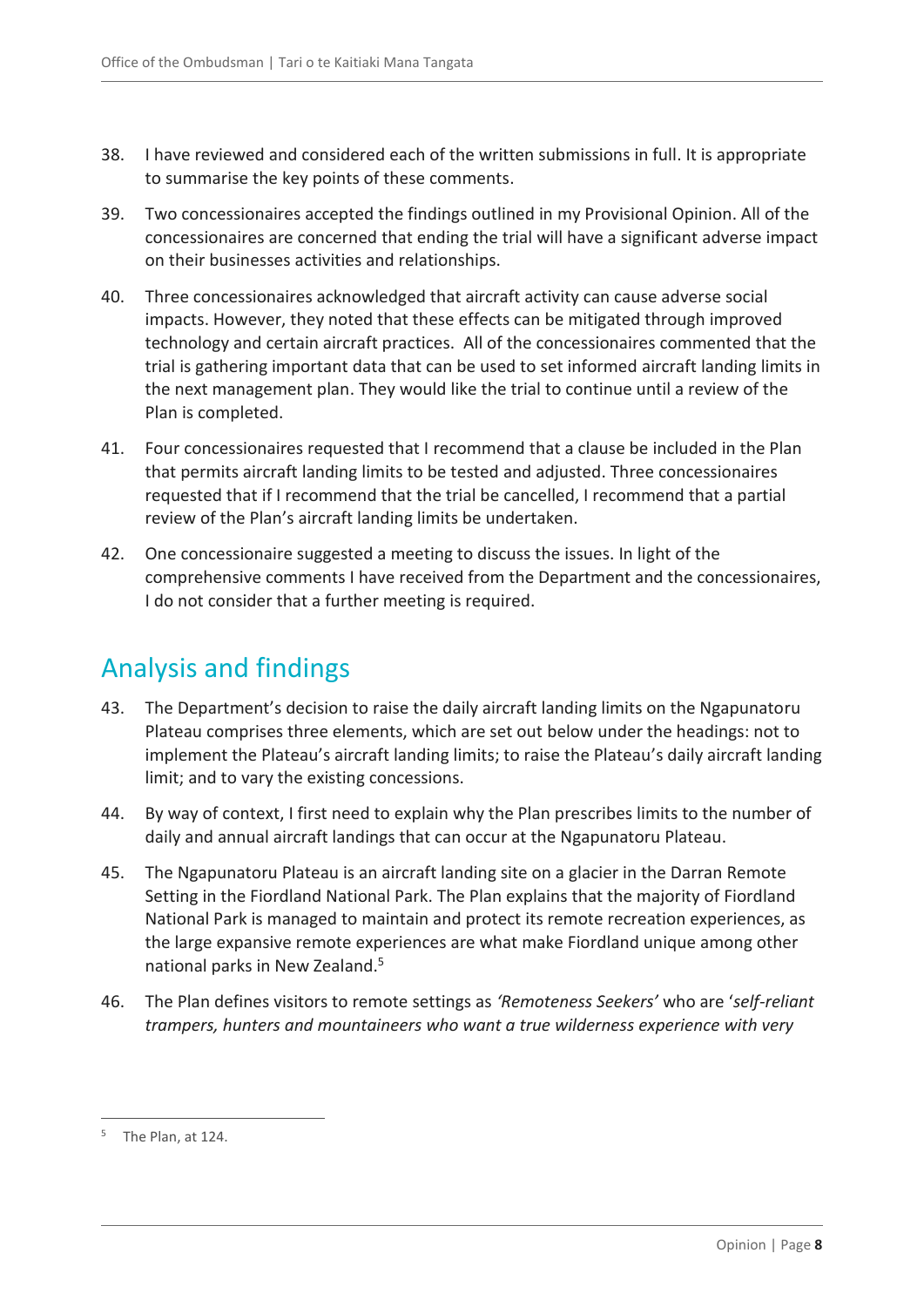- 38. I have reviewed and considered each of the written submissions in full. It is appropriate to summarise the key points of these comments.
- 39. Two concessionaires accepted the findings outlined in my Provisional Opinion. All of the concessionaires are concerned that ending the trial will have a significant adverse impact on their businesses activities and relationships.
- 40. Three concessionaires acknowledged that aircraft activity can cause adverse social impacts. However, they noted that these effects can be mitigated through improved technology and certain aircraft practices. All of the concessionaires commented that the trial is gathering important data that can be used to set informed aircraft landing limits in the next management plan. They would like the trial to continue until a review of the Plan is completed.
- 41. Four concessionaires requested that I recommend that a clause be included in the Plan that permits aircraft landing limits to be tested and adjusted. Three concessionaires requested that if I recommend that the trial be cancelled, I recommend that a partial review of the Plan's aircraft landing limits be undertaken.
- 42. One concessionaire suggested a meeting to discuss the issues. In light of the comprehensive comments I have received from the Department and the concessionaires, I do not consider that a further meeting is required.

# <span id="page-7-0"></span>Analysis and findings

- 43. The Department's decision to raise the daily aircraft landing limits on the Ngapunatoru Plateau comprises three elements, which are set out below under the headings: not to implement the Plateau's aircraft landing limits; to raise the Plateau's daily aircraft landing limit; and to vary the existing concessions.
- 44. By way of context, I first need to explain why the Plan prescribes limits to the number of daily and annual aircraft landings that can occur at the Ngapunatoru Plateau.
- 45. The Ngapunatoru Plateau is an aircraft landing site on a glacier in the Darran Remote Setting in the Fiordland National Park. The Plan explains that the majority of Fiordland National Park is managed to maintain and protect its remote recreation experiences, as the large expansive remote experiences are what make Fiordland unique among other national parks in New Zealand.<sup>5</sup>
- 46. The Plan defines visitors to remote settings as *'Remoteness Seekers'* who are '*self-reliant trampers, hunters and mountaineers who want a true wilderness experience with very*

<sup>&</sup>lt;sup>5</sup> The Plan, at 124.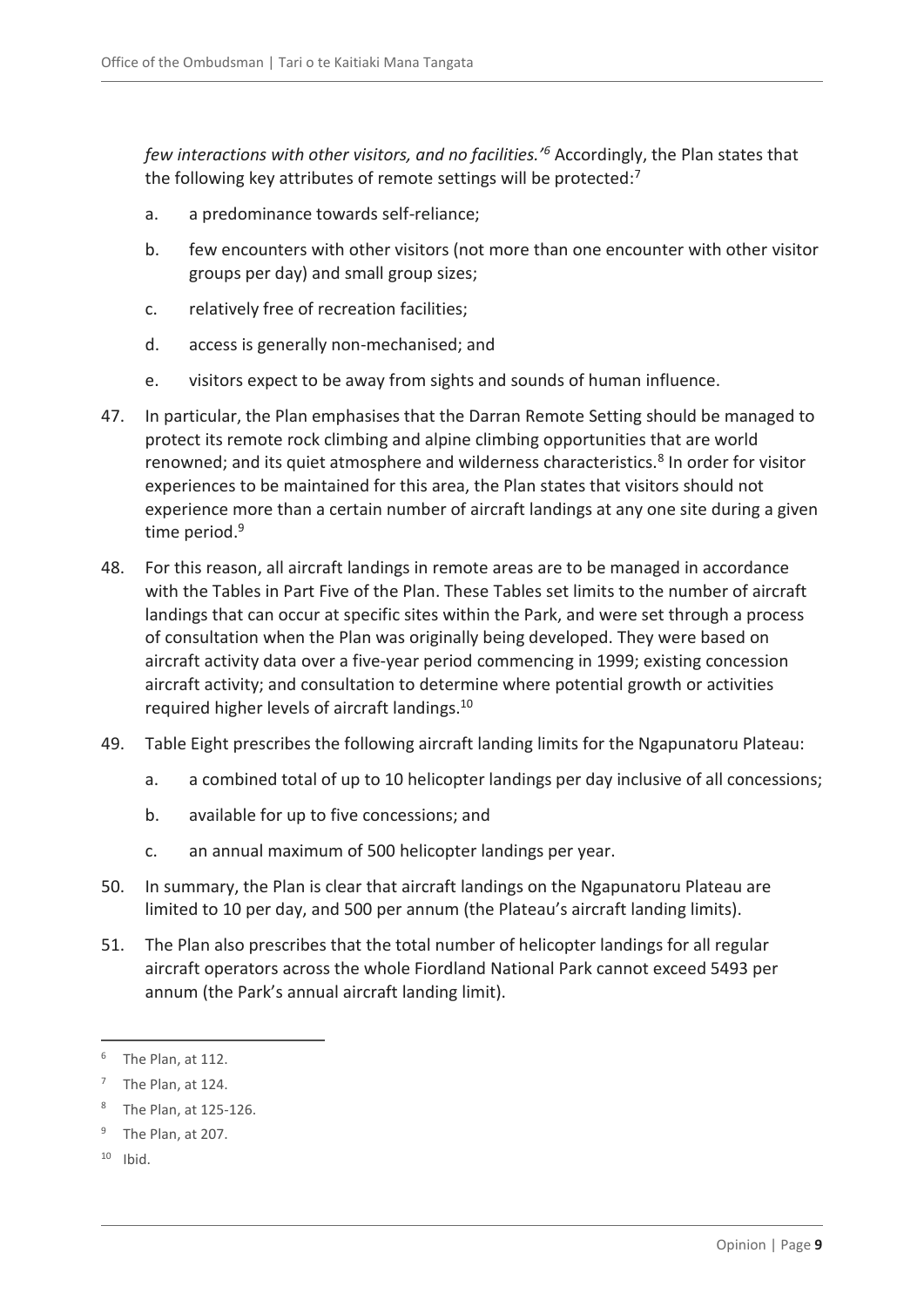*few interactions with other visitors, and no facilities.'<sup>6</sup>* Accordingly, the Plan states that the following key attributes of remote settings will be protected:<sup>7</sup>

- a. a predominance towards self-reliance;
- b. few encounters with other visitors (not more than one encounter with other visitor groups per day) and small group sizes;
- c. relatively free of recreation facilities;
- d. access is generally non-mechanised; and
- e. visitors expect to be away from sights and sounds of human influence.
- 47. In particular, the Plan emphasises that the Darran Remote Setting should be managed to protect its remote rock climbing and alpine climbing opportunities that are world renowned; and its quiet atmosphere and wilderness characteristics.<sup>8</sup> In order for visitor experiences to be maintained for this area, the Plan states that visitors should not experience more than a certain number of aircraft landings at any one site during a given time period.<sup>9</sup>
- 48. For this reason, all aircraft landings in remote areas are to be managed in accordance with the Tables in Part Five of the Plan. These Tables set limits to the number of aircraft landings that can occur at specific sites within the Park, and were set through a process of consultation when the Plan was originally being developed. They were based on aircraft activity data over a five-year period commencing in 1999; existing concession aircraft activity; and consultation to determine where potential growth or activities required higher levels of aircraft landings.<sup>10</sup>
- 49. Table Eight prescribes the following aircraft landing limits for the Ngapunatoru Plateau:
	- a. a combined total of up to 10 helicopter landings per day inclusive of all concessions;
	- b. available for up to five concessions; and
	- c. an annual maximum of 500 helicopter landings per year.
- 50. In summary, the Plan is clear that aircraft landings on the Ngapunatoru Plateau are limited to 10 per day, and 500 per annum (the Plateau's aircraft landing limits).
- 51. The Plan also prescribes that the total number of helicopter landings for all regular aircraft operators across the whole Fiordland National Park cannot exceed 5493 per annum (the Park's annual aircraft landing limit).

The Plan, at 112.

 $7$  The Plan, at 124.

<sup>8</sup> The Plan, at 125-126.

<sup>9</sup> The Plan, at 207.

 $10$  Ibid.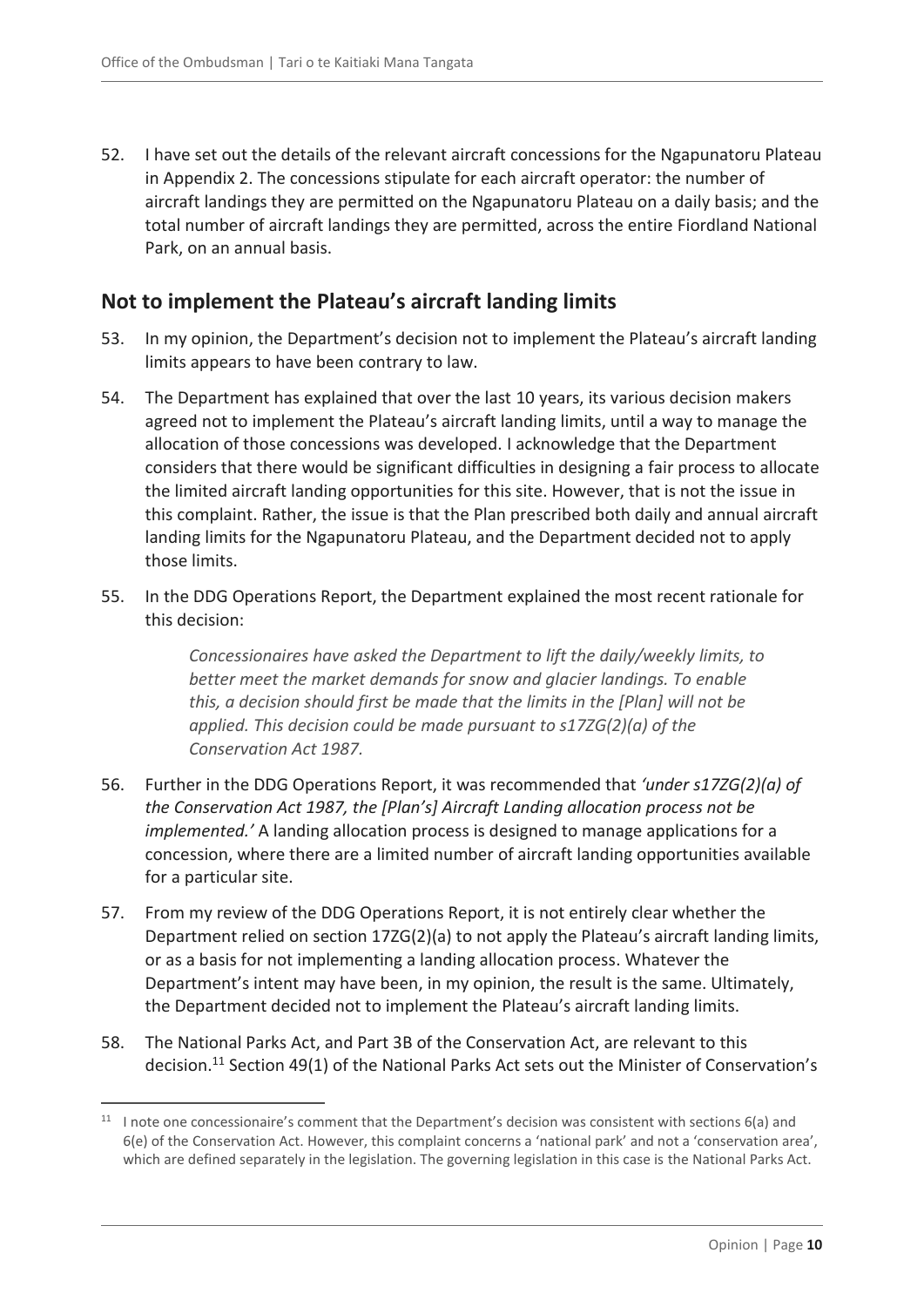52. I have set out the details of the relevant aircraft concessions for the Ngapunatoru Plateau in Appendix 2. The concessions stipulate for each aircraft operator: the number of aircraft landings they are permitted on the Ngapunatoru Plateau on a daily basis; and the total number of aircraft landings they are permitted, across the entire Fiordland National Park, on an annual basis.

### <span id="page-9-0"></span>**Not to implement the Plateau's aircraft landing limits**

- 53. In my opinion, the Department's decision not to implement the Plateau's aircraft landing limits appears to have been contrary to law.
- 54. The Department has explained that over the last 10 years, its various decision makers agreed not to implement the Plateau's aircraft landing limits, until a way to manage the allocation of those concessions was developed. I acknowledge that the Department considers that there would be significant difficulties in designing a fair process to allocate the limited aircraft landing opportunities for this site. However, that is not the issue in this complaint. Rather, the issue is that the Plan prescribed both daily and annual aircraft landing limits for the Ngapunatoru Plateau, and the Department decided not to apply those limits.
- 55. In the DDG Operations Report, the Department explained the most recent rationale for this decision:

*Concessionaires have asked the Department to lift the daily/weekly limits, to better meet the market demands for snow and glacier landings. To enable this, a decision should first be made that the limits in the [Plan] will not be applied. This decision could be made pursuant to s17ZG(2)(a) of the Conservation Act 1987.*

- 56. Further in the DDG Operations Report, it was recommended that *'under s17ZG(2)(a) of the Conservation Act 1987, the [Plan's] Aircraft Landing allocation process not be implemented.'* A landing allocation process is designed to manage applications for a concession, where there are a limited number of aircraft landing opportunities available for a particular site.
- 57. From my review of the DDG Operations Report, it is not entirely clear whether the Department relied on section 17ZG(2)(a) to not apply the Plateau's aircraft landing limits, or as a basis for not implementing a landing allocation process. Whatever the Department's intent may have been, in my opinion, the result is the same. Ultimately, the Department decided not to implement the Plateau's aircraft landing limits.
- 58. The National Parks Act, and Part 3B of the Conservation Act, are relevant to this decision.<sup>11</sup> Section 49(1) of the National Parks Act sets out the Minister of Conservation's

<sup>&</sup>lt;sup>11</sup> I note one concessionaire's comment that the Department's decision was consistent with sections 6(a) and 6(e) of the Conservation Act. However, this complaint concerns a 'national park' and not a 'conservation area', which are defined separately in the legislation. The governing legislation in this case is the National Parks Act.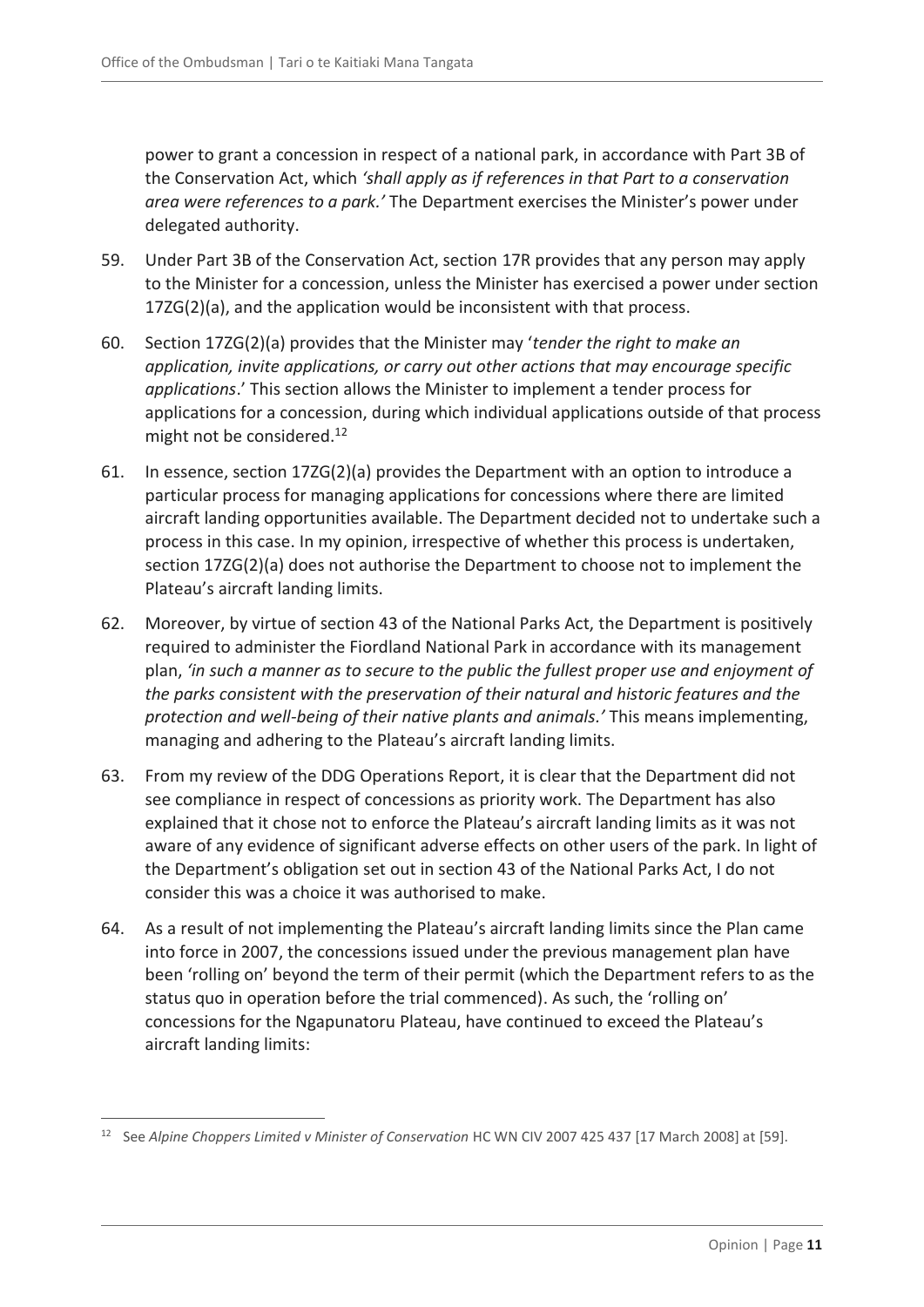power to grant a concession in respect of a national park, in accordance with Part 3B of the Conservation Act, which *'shall apply as if references in that Part to a conservation area were references to a park.'* The Department exercises the Minister's power under delegated authority.

- 59. Under Part 3B of the Conservation Act, section 17R provides that any person may apply to the Minister for a concession, unless the Minister has exercised a power under section 17ZG(2)(a), and the application would be inconsistent with that process.
- 60. Section 17ZG(2)(a) provides that the Minister may '*tender the right to make an application, invite applications, or carry out other actions that may encourage specific applications*.' This section allows the Minister to implement a tender process for applications for a concession, during which individual applications outside of that process might not be considered.<sup>12</sup>
- 61. In essence, section 17ZG(2)(a) provides the Department with an option to introduce a particular process for managing applications for concessions where there are limited aircraft landing opportunities available. The Department decided not to undertake such a process in this case. In my opinion, irrespective of whether this process is undertaken, section 17ZG(2)(a) does not authorise the Department to choose not to implement the Plateau's aircraft landing limits.
- 62. Moreover, by virtue of section 43 of the National Parks Act, the Department is positively required to administer the Fiordland National Park in accordance with its management plan, *'in such a manner as to secure to the public the fullest proper use and enjoyment of the parks consistent with the preservation of their natural and historic features and the protection and well-being of their native plants and animals.'* This means implementing, managing and adhering to the Plateau's aircraft landing limits.
- 63. From my review of the DDG Operations Report, it is clear that the Department did not see compliance in respect of concessions as priority work. The Department has also explained that it chose not to enforce the Plateau's aircraft landing limits as it was not aware of any evidence of significant adverse effects on other users of the park. In light of the Department's obligation set out in section 43 of the National Parks Act, I do not consider this was a choice it was authorised to make.
- 64. As a result of not implementing the Plateau's aircraft landing limits since the Plan came into force in 2007, the concessions issued under the previous management plan have been 'rolling on' beyond the term of their permit (which the Department refers to as the status quo in operation before the trial commenced). As such, the 'rolling on' concessions for the Ngapunatoru Plateau, have continued to exceed the Plateau's aircraft landing limits:

<sup>12</sup> See *Alpine Choppers Limited v Minister of Conservation* HC WN CIV 2007 425 437 [17 March 2008] at [59].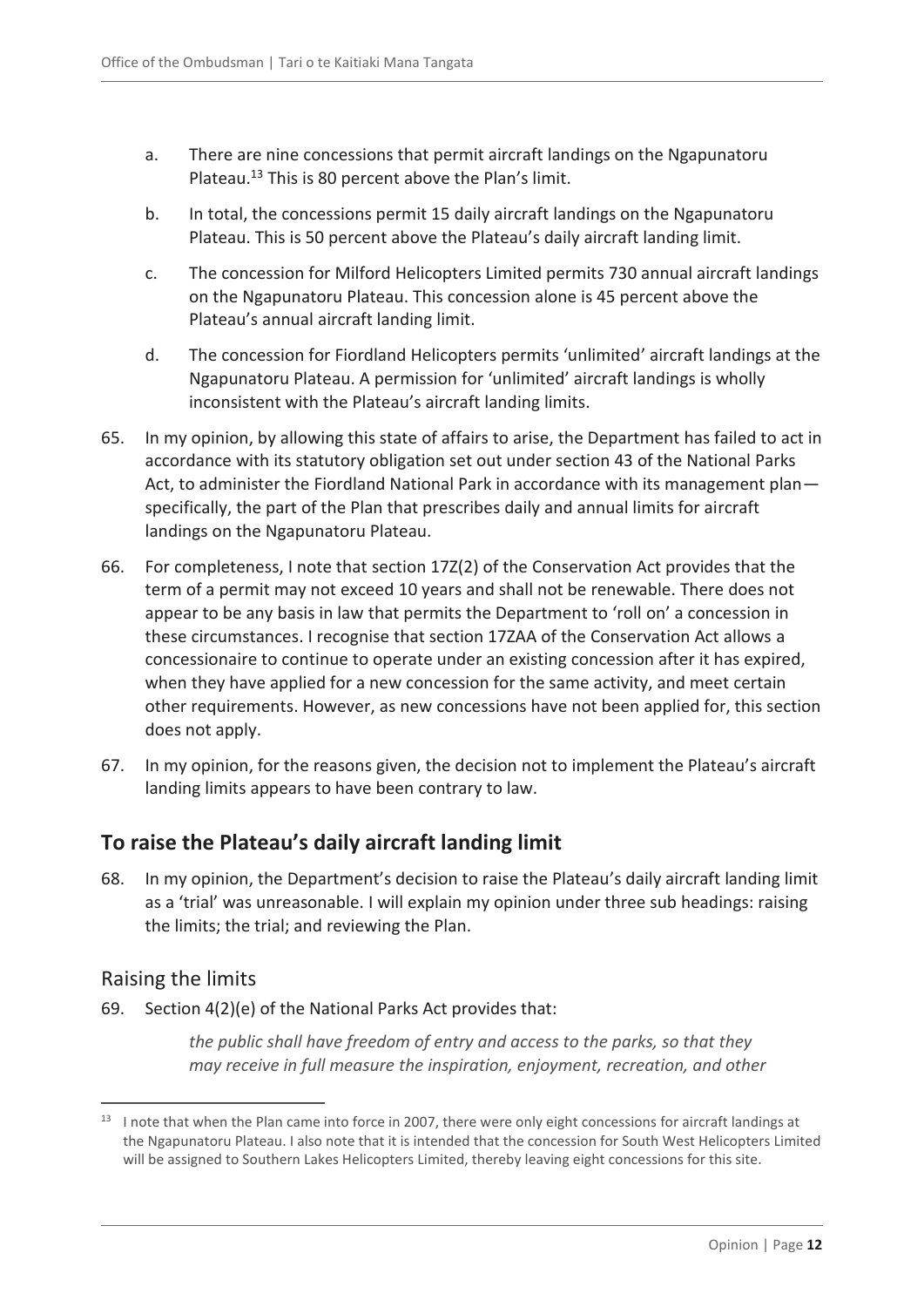- a. There are nine concessions that permit aircraft landings on the Ngapunatoru Plateau.<sup>13</sup> This is 80 percent above the Plan's limit.
- b. In total, the concessions permit 15 daily aircraft landings on the Ngapunatoru Plateau. This is 50 percent above the Plateau's daily aircraft landing limit.
- c. The concession for Milford Helicopters Limited permits 730 annual aircraft landings on the Ngapunatoru Plateau. This concession alone is 45 percent above the Plateau's annual aircraft landing limit.
- d. The concession for Fiordland Helicopters permits 'unlimited' aircraft landings at the Ngapunatoru Plateau. A permission for 'unlimited' aircraft landings is wholly inconsistent with the Plateau's aircraft landing limits.
- 65. In my opinion, by allowing this state of affairs to arise, the Department has failed to act in accordance with its statutory obligation set out under section 43 of the National Parks Act, to administer the Fiordland National Park in accordance with its management plan specifically, the part of the Plan that prescribes daily and annual limits for aircraft landings on the Ngapunatoru Plateau.
- 66. For completeness, I note that section 17Z(2) of the Conservation Act provides that the term of a permit may not exceed 10 years and shall not be renewable. There does not appear to be any basis in law that permits the Department to 'roll on' a concession in these circumstances. I recognise that section 17ZAA of the Conservation Act allows a concessionaire to continue to operate under an existing concession after it has expired, when they have applied for a new concession for the same activity, and meet certain other requirements. However, as new concessions have not been applied for, this section does not apply.
- 67. In my opinion, for the reasons given, the decision not to implement the Plateau's aircraft landing limits appears to have been contrary to law.

### <span id="page-11-0"></span>**To raise the Plateau's daily aircraft landing limit**

68. In my opinion, the Department's decision to raise the Plateau's daily aircraft landing limit as a 'trial' was unreasonable. I will explain my opinion under three sub headings: raising the limits; the trial; and reviewing the Plan.

### <span id="page-11-1"></span>Raising the limits

69. Section 4(2)(e) of the National Parks Act provides that:

*the public shall have freedom of entry and access to the parks, so that they may receive in full measure the inspiration, enjoyment, recreation, and other* 

 $\overline{a}$ <sup>13</sup> I note that when the Plan came into force in 2007, there were only eight concessions for aircraft landings at the Ngapunatoru Plateau. I also note that it is intended that the concession for South West Helicopters Limited will be assigned to Southern Lakes Helicopters Limited, thereby leaving eight concessions for this site.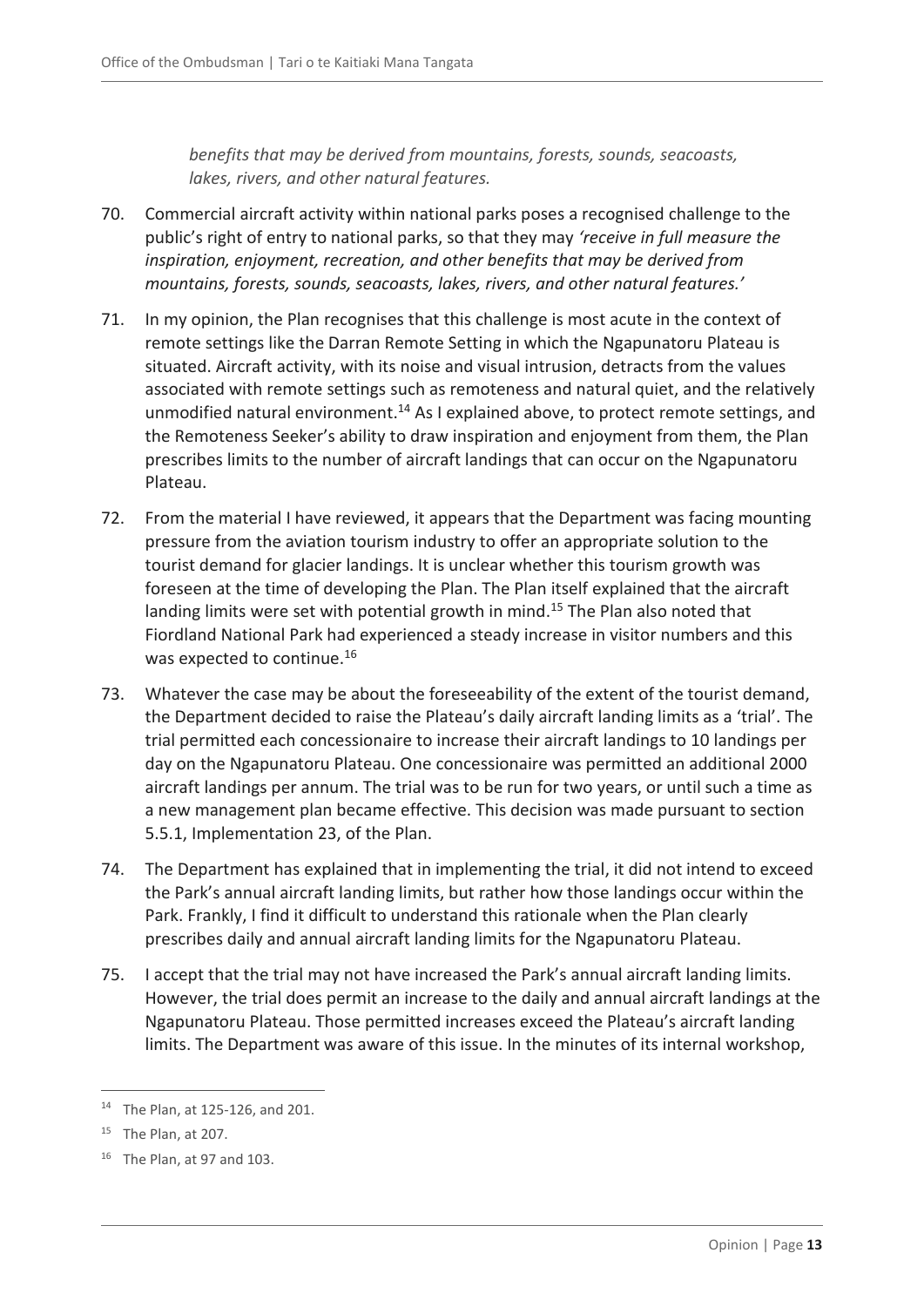*benefits that may be derived from mountains, forests, sounds, seacoasts, lakes, rivers, and other natural features.*

- 70. Commercial aircraft activity within national parks poses a recognised challenge to the public's right of entry to national parks, so that they may *'receive in full measure the inspiration, enjoyment, recreation, and other benefits that may be derived from mountains, forests, sounds, seacoasts, lakes, rivers, and other natural features.'*
- 71. In my opinion, the Plan recognises that this challenge is most acute in the context of remote settings like the Darran Remote Setting in which the Ngapunatoru Plateau is situated. Aircraft activity, with its noise and visual intrusion, detracts from the values associated with remote settings such as remoteness and natural quiet, and the relatively unmodified natural environment.<sup>14</sup> As I explained above, to protect remote settings, and the Remoteness Seeker's ability to draw inspiration and enjoyment from them, the Plan prescribes limits to the number of aircraft landings that can occur on the Ngapunatoru Plateau.
- 72. From the material I have reviewed, it appears that the Department was facing mounting pressure from the aviation tourism industry to offer an appropriate solution to the tourist demand for glacier landings. It is unclear whether this tourism growth was foreseen at the time of developing the Plan. The Plan itself explained that the aircraft landing limits were set with potential growth in mind.<sup>15</sup> The Plan also noted that Fiordland National Park had experienced a steady increase in visitor numbers and this was expected to continue.<sup>16</sup>
- 73. Whatever the case may be about the foreseeability of the extent of the tourist demand, the Department decided to raise the Plateau's daily aircraft landing limits as a 'trial'. The trial permitted each concessionaire to increase their aircraft landings to 10 landings per day on the Ngapunatoru Plateau. One concessionaire was permitted an additional 2000 aircraft landings per annum. The trial was to be run for two years, or until such a time as a new management plan became effective. This decision was made pursuant to section 5.5.1, Implementation 23, of the Plan.
- 74. The Department has explained that in implementing the trial, it did not intend to exceed the Park's annual aircraft landing limits, but rather how those landings occur within the Park. Frankly, I find it difficult to understand this rationale when the Plan clearly prescribes daily and annual aircraft landing limits for the Ngapunatoru Plateau.
- 75. I accept that the trial may not have increased the Park's annual aircraft landing limits. However, the trial does permit an increase to the daily and annual aircraft landings at the Ngapunatoru Plateau. Those permitted increases exceed the Plateau's aircraft landing limits. The Department was aware of this issue. In the minutes of its internal workshop,

<sup>14</sup> The Plan, at 125-126, and 201.

<sup>&</sup>lt;sup>15</sup> The Plan, at 207.

<sup>&</sup>lt;sup>16</sup> The Plan, at 97 and 103.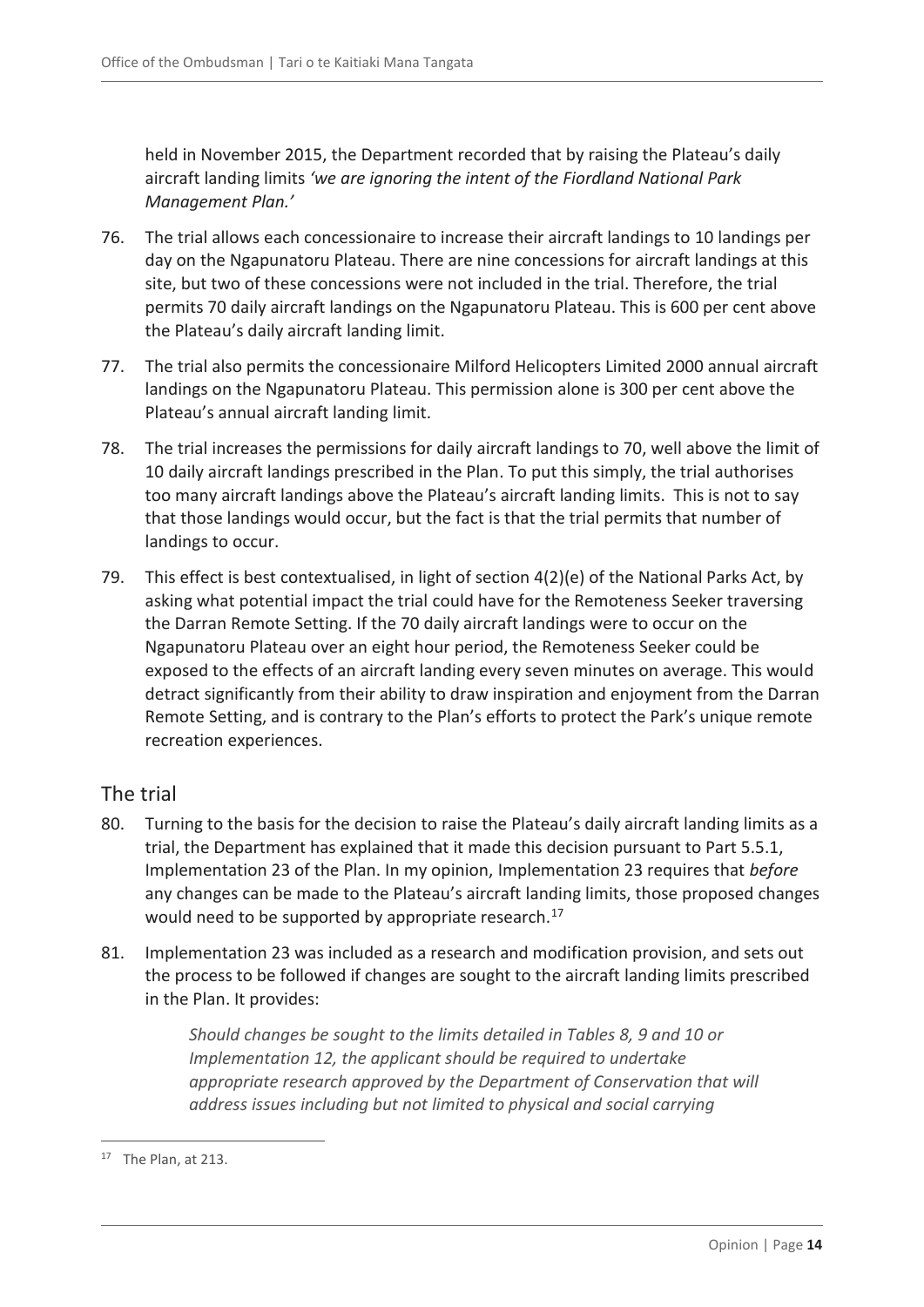held in November 2015, the Department recorded that by raising the Plateau's daily aircraft landing limits *'we are ignoring the intent of the Fiordland National Park Management Plan.'*

- 76. The trial allows each concessionaire to increase their aircraft landings to 10 landings per day on the Ngapunatoru Plateau. There are nine concessions for aircraft landings at this site, but two of these concessions were not included in the trial. Therefore, the trial permits 70 daily aircraft landings on the Ngapunatoru Plateau. This is 600 per cent above the Plateau's daily aircraft landing limit.
- 77. The trial also permits the concessionaire Milford Helicopters Limited 2000 annual aircraft landings on the Ngapunatoru Plateau. This permission alone is 300 per cent above the Plateau's annual aircraft landing limit.
- 78. The trial increases the permissions for daily aircraft landings to 70, well above the limit of 10 daily aircraft landings prescribed in the Plan. To put this simply, the trial authorises too many aircraft landings above the Plateau's aircraft landing limits. This is not to say that those landings would occur, but the fact is that the trial permits that number of landings to occur.
- 79. This effect is best contextualised, in light of section 4(2)(e) of the National Parks Act, by asking what potential impact the trial could have for the Remoteness Seeker traversing the Darran Remote Setting. If the 70 daily aircraft landings were to occur on the Ngapunatoru Plateau over an eight hour period, the Remoteness Seeker could be exposed to the effects of an aircraft landing every seven minutes on average. This would detract significantly from their ability to draw inspiration and enjoyment from the Darran Remote Setting, and is contrary to the Plan's efforts to protect the Park's unique remote recreation experiences.

### <span id="page-13-0"></span>The trial

- 80. Turning to the basis for the decision to raise the Plateau's daily aircraft landing limits as a trial, the Department has explained that it made this decision pursuant to Part 5.5.1, Implementation 23 of the Plan. In my opinion, Implementation 23 requires that *before* any changes can be made to the Plateau's aircraft landing limits, those proposed changes would need to be supported by appropriate research.<sup>17</sup>
- 81. Implementation 23 was included as a research and modification provision, and sets out the process to be followed if changes are sought to the aircraft landing limits prescribed in the Plan. It provides:

*Should changes be sought to the limits detailed in Tables 8, 9 and 10 or Implementation 12, the applicant should be required to undertake appropriate research approved by the Department of Conservation that will address issues including but not limited to physical and social carrying* 

 $17$  The Plan, at 213.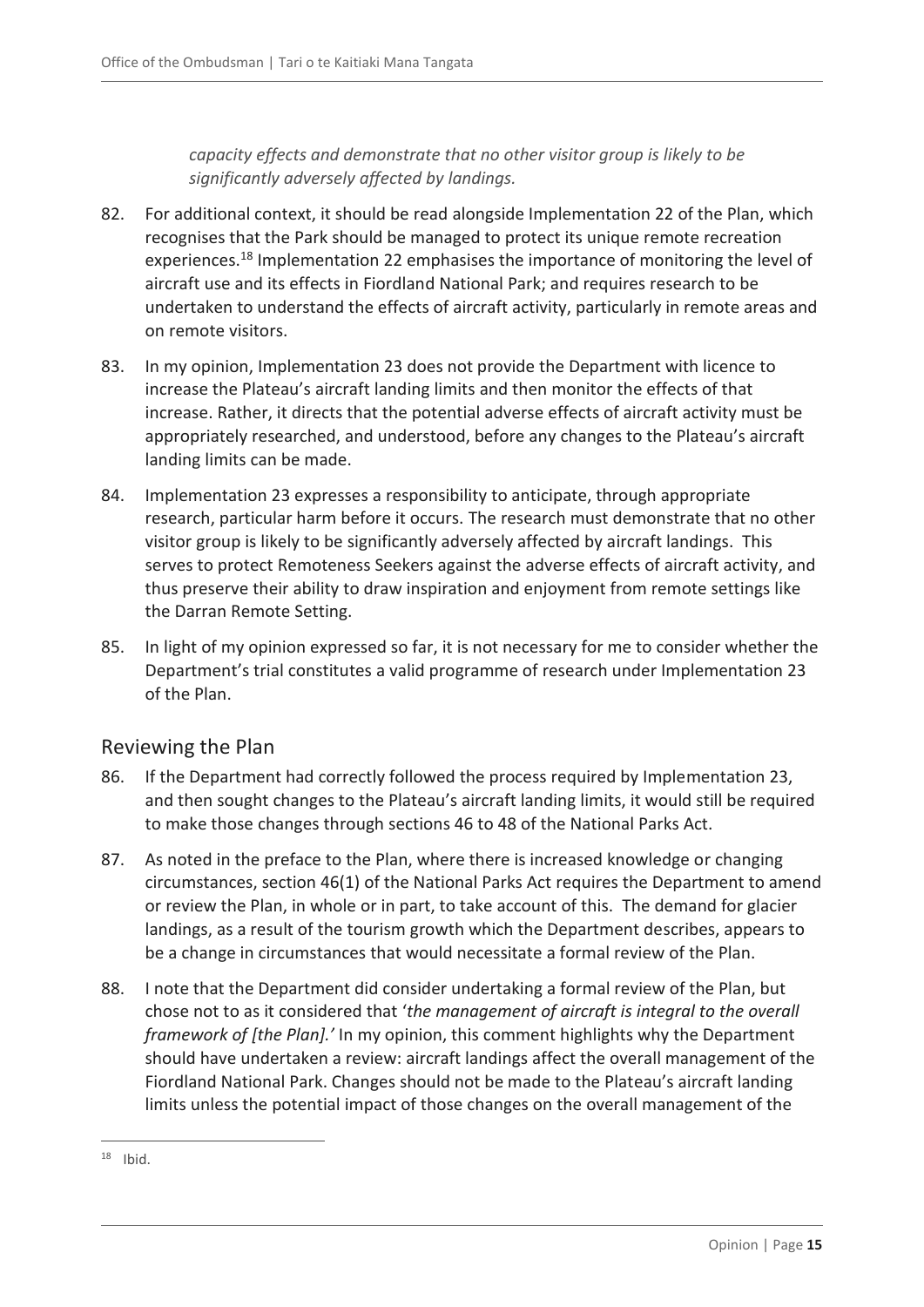*capacity effects and demonstrate that no other visitor group is likely to be significantly adversely affected by landings.*

- 82. For additional context, it should be read alongside Implementation 22 of the Plan, which recognises that the Park should be managed to protect its unique remote recreation experiences.<sup>18</sup> Implementation 22 emphasises the importance of monitoring the level of aircraft use and its effects in Fiordland National Park; and requires research to be undertaken to understand the effects of aircraft activity, particularly in remote areas and on remote visitors.
- 83. In my opinion, Implementation 23 does not provide the Department with licence to increase the Plateau's aircraft landing limits and then monitor the effects of that increase. Rather, it directs that the potential adverse effects of aircraft activity must be appropriately researched, and understood, before any changes to the Plateau's aircraft landing limits can be made.
- 84. Implementation 23 expresses a responsibility to anticipate, through appropriate research, particular harm before it occurs. The research must demonstrate that no other visitor group is likely to be significantly adversely affected by aircraft landings. This serves to protect Remoteness Seekers against the adverse effects of aircraft activity, and thus preserve their ability to draw inspiration and enjoyment from remote settings like the Darran Remote Setting.
- 85. In light of my opinion expressed so far, it is not necessary for me to consider whether the Department's trial constitutes a valid programme of research under Implementation 23 of the Plan.

### <span id="page-14-0"></span>Reviewing the Plan

- 86. If the Department had correctly followed the process required by Implementation 23, and then sought changes to the Plateau's aircraft landing limits, it would still be required to make those changes through sections 46 to 48 of the National Parks Act.
- 87. As noted in the preface to the Plan, where there is increased knowledge or changing circumstances, section 46(1) of the National Parks Act requires the Department to amend or review the Plan, in whole or in part, to take account of this. The demand for glacier landings, as a result of the tourism growth which the Department describes, appears to be a change in circumstances that would necessitate a formal review of the Plan.
- 88. I note that the Department did consider undertaking a formal review of the Plan, but chose not to as it considered that '*the management of aircraft is integral to the overall framework of [the Plan].'* In my opinion, this comment highlights why the Department should have undertaken a review: aircraft landings affect the overall management of the Fiordland National Park. Changes should not be made to the Plateau's aircraft landing limits unless the potential impact of those changes on the overall management of the

 $\overline{a}$  $18$  Ibid.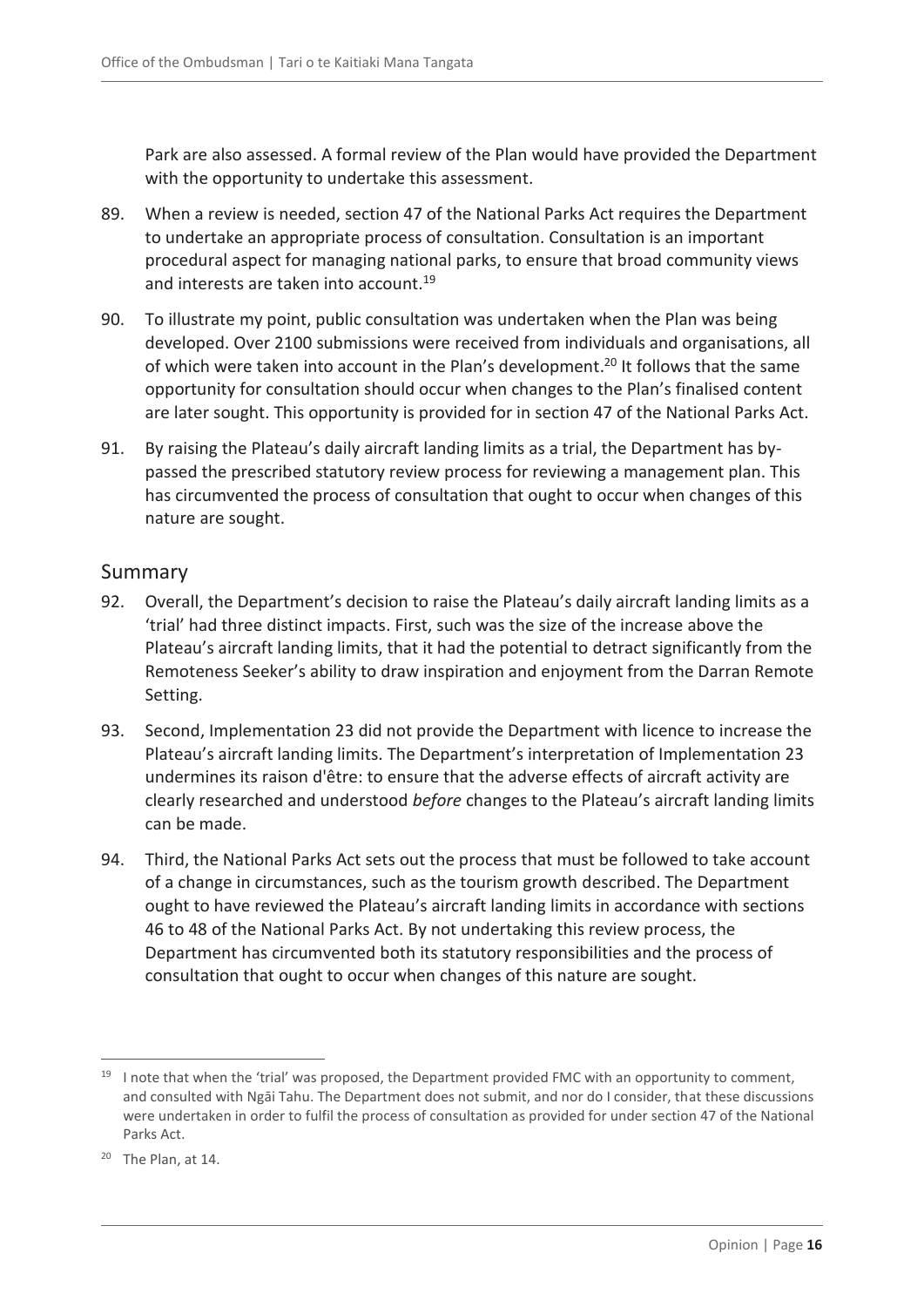Park are also assessed. A formal review of the Plan would have provided the Department with the opportunity to undertake this assessment.

- 89. When a review is needed, section 47 of the National Parks Act requires the Department to undertake an appropriate process of consultation. Consultation is an important procedural aspect for managing national parks, to ensure that broad community views and interests are taken into account.<sup>19</sup>
- 90. To illustrate my point, public consultation was undertaken when the Plan was being developed. Over 2100 submissions were received from individuals and organisations, all of which were taken into account in the Plan's development.<sup>20</sup> It follows that the same opportunity for consultation should occur when changes to the Plan's finalised content are later sought. This opportunity is provided for in section 47 of the National Parks Act.
- 91. By raising the Plateau's daily aircraft landing limits as a trial, the Department has bypassed the prescribed statutory review process for reviewing a management plan. This has circumvented the process of consultation that ought to occur when changes of this nature are sought.

#### <span id="page-15-0"></span>Summary

- 92. Overall, the Department's decision to raise the Plateau's daily aircraft landing limits as a 'trial' had three distinct impacts. First, such was the size of the increase above the Plateau's aircraft landing limits, that it had the potential to detract significantly from the Remoteness Seeker's ability to draw inspiration and enjoyment from the Darran Remote Setting.
- 93. Second, Implementation 23 did not provide the Department with licence to increase the Plateau's aircraft landing limits. The Department's interpretation of Implementation 23 undermines its raison d'être: to ensure that the adverse effects of aircraft activity are clearly researched and understood *before* changes to the Plateau's aircraft landing limits can be made.
- 94. Third, the National Parks Act sets out the process that must be followed to take account of a change in circumstances, such as the tourism growth described. The Department ought to have reviewed the Plateau's aircraft landing limits in accordance with sections 46 to 48 of the National Parks Act. By not undertaking this review process, the Department has circumvented both its statutory responsibilities and the process of consultation that ought to occur when changes of this nature are sought.

<sup>&</sup>lt;sup>19</sup> I note that when the 'trial' was proposed, the Department provided FMC with an opportunity to comment, and consulted with Ngāi Tahu. The Department does not submit, and nor do I consider, that these discussions were undertaken in order to fulfil the process of consultation as provided for under section 47 of the National Parks Act.

 $20$  The Plan, at 14.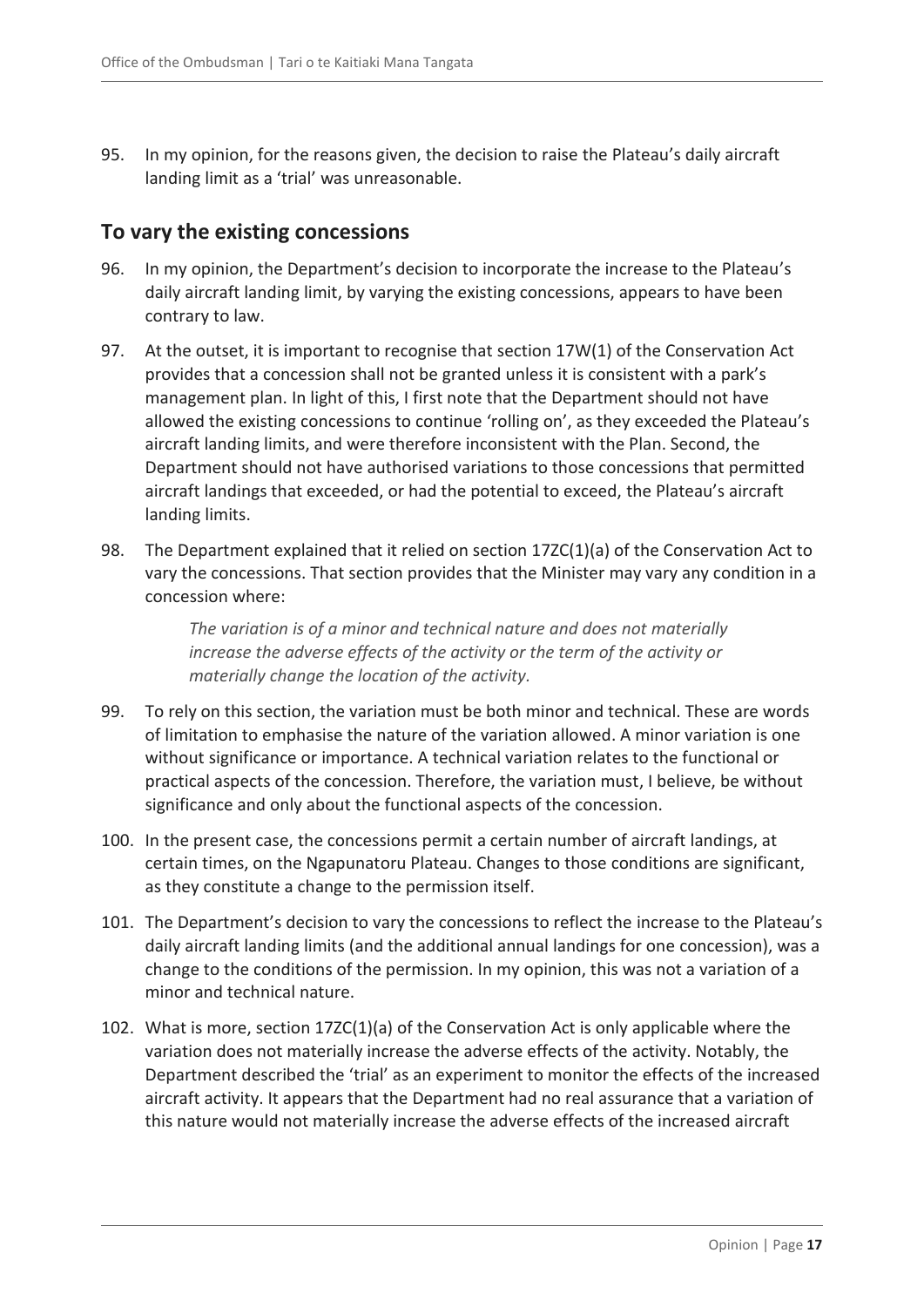95. In my opinion, for the reasons given, the decision to raise the Plateau's daily aircraft landing limit as a 'trial' was unreasonable.

### <span id="page-16-0"></span>**To vary the existing concessions**

- 96. In my opinion, the Department's decision to incorporate the increase to the Plateau's daily aircraft landing limit, by varying the existing concessions, appears to have been contrary to law.
- 97. At the outset, it is important to recognise that section 17W(1) of the Conservation Act provides that a concession shall not be granted unless it is consistent with a park's management plan. In light of this, I first note that the Department should not have allowed the existing concessions to continue 'rolling on', as they exceeded the Plateau's aircraft landing limits, and were therefore inconsistent with the Plan. Second, the Department should not have authorised variations to those concessions that permitted aircraft landings that exceeded, or had the potential to exceed, the Plateau's aircraft landing limits.
- 98. The Department explained that it relied on section 17ZC(1)(a) of the Conservation Act to vary the concessions. That section provides that the Minister may vary any condition in a concession where:

*The variation is of a minor and technical nature and does not materially increase the adverse effects of the activity or the term of the activity or materially change the location of the activity.*

- 99. To rely on this section, the variation must be both minor and technical. These are words of limitation to emphasise the nature of the variation allowed. A minor variation is one without significance or importance. A technical variation relates to the functional or practical aspects of the concession. Therefore, the variation must, I believe, be without significance and only about the functional aspects of the concession.
- 100. In the present case, the concessions permit a certain number of aircraft landings, at certain times, on the Ngapunatoru Plateau. Changes to those conditions are significant, as they constitute a change to the permission itself.
- 101. The Department's decision to vary the concessions to reflect the increase to the Plateau's daily aircraft landing limits (and the additional annual landings for one concession), was a change to the conditions of the permission. In my opinion, this was not a variation of a minor and technical nature.
- 102. What is more, section 17ZC(1)(a) of the Conservation Act is only applicable where the variation does not materially increase the adverse effects of the activity. Notably, the Department described the 'trial' as an experiment to monitor the effects of the increased aircraft activity. It appears that the Department had no real assurance that a variation of this nature would not materially increase the adverse effects of the increased aircraft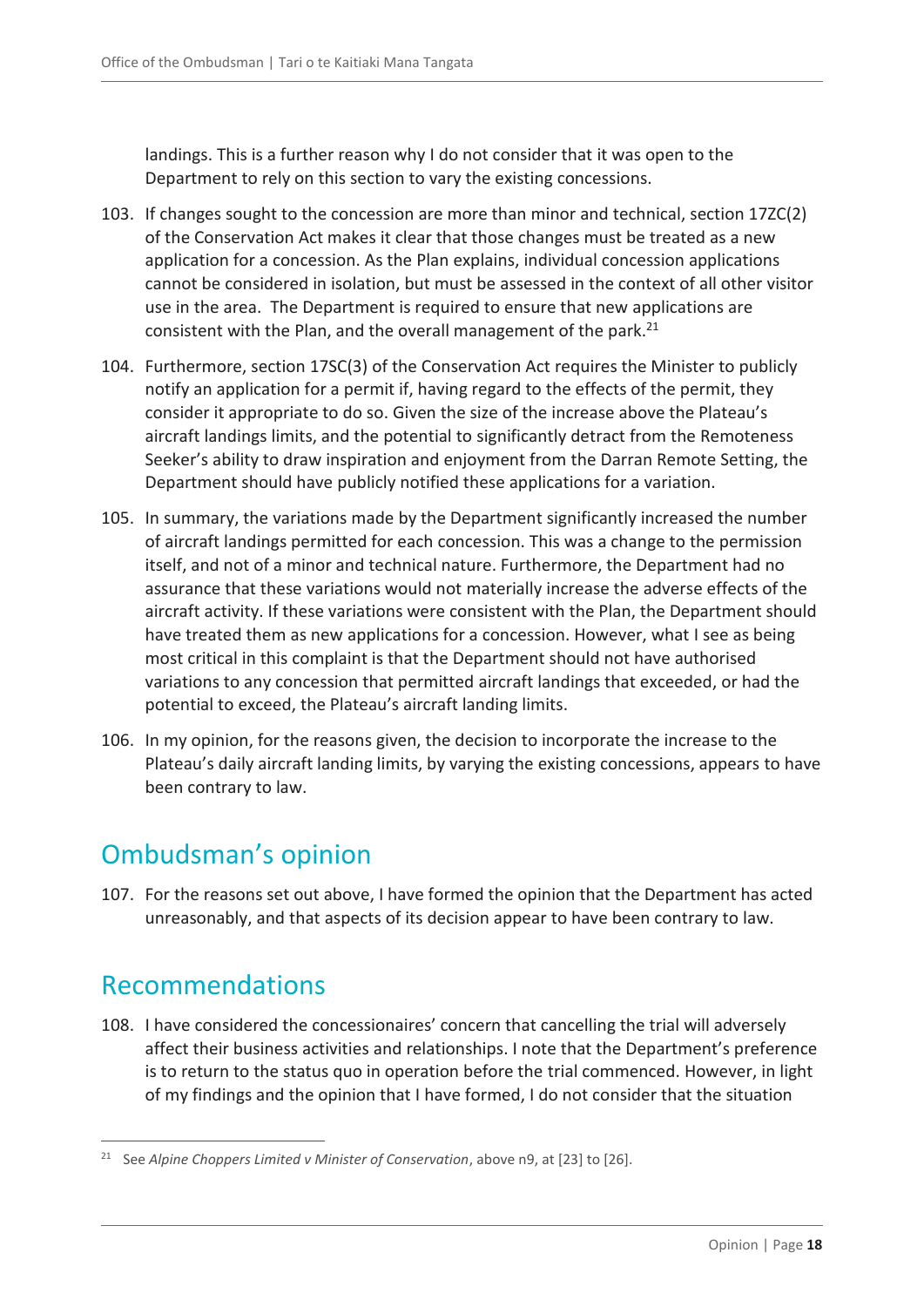landings. This is a further reason why I do not consider that it was open to the Department to rely on this section to vary the existing concessions.

- 103. If changes sought to the concession are more than minor and technical, section 17ZC(2) of the Conservation Act makes it clear that those changes must be treated as a new application for a concession. As the Plan explains, individual concession applications cannot be considered in isolation, but must be assessed in the context of all other visitor use in the area. The Department is required to ensure that new applications are consistent with the Plan, and the overall management of the park.<sup>21</sup>
- 104. Furthermore, section 17SC(3) of the Conservation Act requires the Minister to publicly notify an application for a permit if, having regard to the effects of the permit, they consider it appropriate to do so. Given the size of the increase above the Plateau's aircraft landings limits, and the potential to significantly detract from the Remoteness Seeker's ability to draw inspiration and enjoyment from the Darran Remote Setting, the Department should have publicly notified these applications for a variation.
- 105. In summary, the variations made by the Department significantly increased the number of aircraft landings permitted for each concession. This was a change to the permission itself, and not of a minor and technical nature. Furthermore, the Department had no assurance that these variations would not materially increase the adverse effects of the aircraft activity. If these variations were consistent with the Plan, the Department should have treated them as new applications for a concession. However, what I see as being most critical in this complaint is that the Department should not have authorised variations to any concession that permitted aircraft landings that exceeded, or had the potential to exceed, the Plateau's aircraft landing limits.
- 106. In my opinion, for the reasons given, the decision to incorporate the increase to the Plateau's daily aircraft landing limits, by varying the existing concessions, appears to have been contrary to law.

# <span id="page-17-0"></span>Ombudsman's opinion

107. For the reasons set out above, I have formed the opinion that the Department has acted unreasonably, and that aspects of its decision appear to have been contrary to law.

# <span id="page-17-1"></span>Recommendations

 $\overline{a}$ 

108. I have considered the concessionaires' concern that cancelling the trial will adversely affect their business activities and relationships. I note that the Department's preference is to return to the status quo in operation before the trial commenced. However, in light of my findings and the opinion that I have formed, I do not consider that the situation

<sup>21</sup> See *Alpine Choppers Limited v Minister of Conservation*, above n9, at [23] to [26].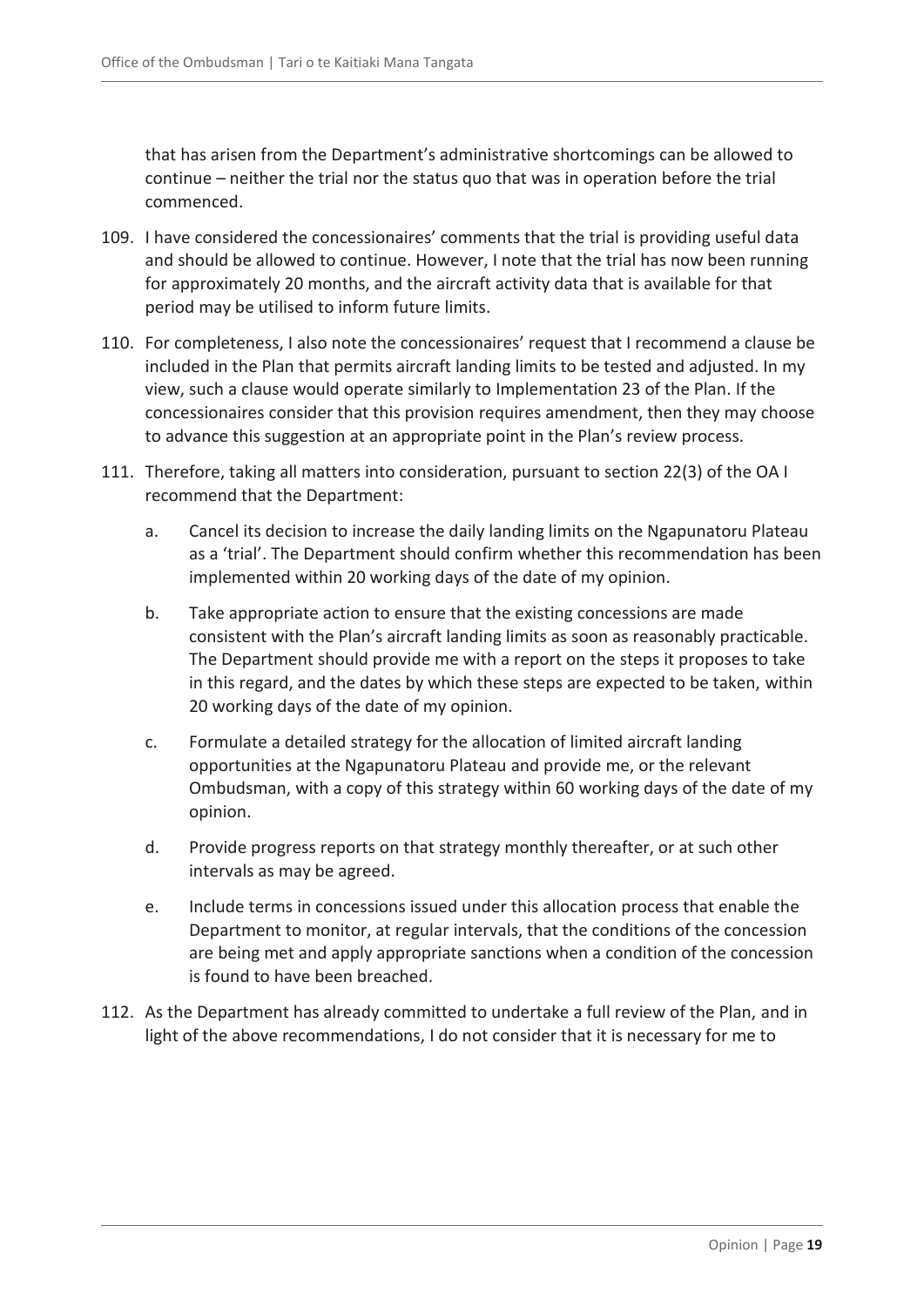that has arisen from the Department's administrative shortcomings can be allowed to continue – neither the trial nor the status quo that was in operation before the trial commenced.

- 109. I have considered the concessionaires' comments that the trial is providing useful data and should be allowed to continue. However, I note that the trial has now been running for approximately 20 months, and the aircraft activity data that is available for that period may be utilised to inform future limits.
- 110. For completeness, I also note the concessionaires' request that I recommend a clause be included in the Plan that permits aircraft landing limits to be tested and adjusted. In my view, such a clause would operate similarly to Implementation 23 of the Plan. If the concessionaires consider that this provision requires amendment, then they may choose to advance this suggestion at an appropriate point in the Plan's review process.
- 111. Therefore, taking all matters into consideration, pursuant to section 22(3) of the OA I recommend that the Department:
	- a. Cancel its decision to increase the daily landing limits on the Ngapunatoru Plateau as a 'trial'. The Department should confirm whether this recommendation has been implemented within 20 working days of the date of my opinion.
	- b. Take appropriate action to ensure that the existing concessions are made consistent with the Plan's aircraft landing limits as soon as reasonably practicable. The Department should provide me with a report on the steps it proposes to take in this regard, and the dates by which these steps are expected to be taken, within 20 working days of the date of my opinion.
	- c. Formulate a detailed strategy for the allocation of limited aircraft landing opportunities at the Ngapunatoru Plateau and provide me, or the relevant Ombudsman, with a copy of this strategy within 60 working days of the date of my opinion.
	- d. Provide progress reports on that strategy monthly thereafter, or at such other intervals as may be agreed.
	- e. Include terms in concessions issued under this allocation process that enable the Department to monitor, at regular intervals, that the conditions of the concession are being met and apply appropriate sanctions when a condition of the concession is found to have been breached.
- 112. As the Department has already committed to undertake a full review of the Plan, and in light of the above recommendations, I do not consider that it is necessary for me to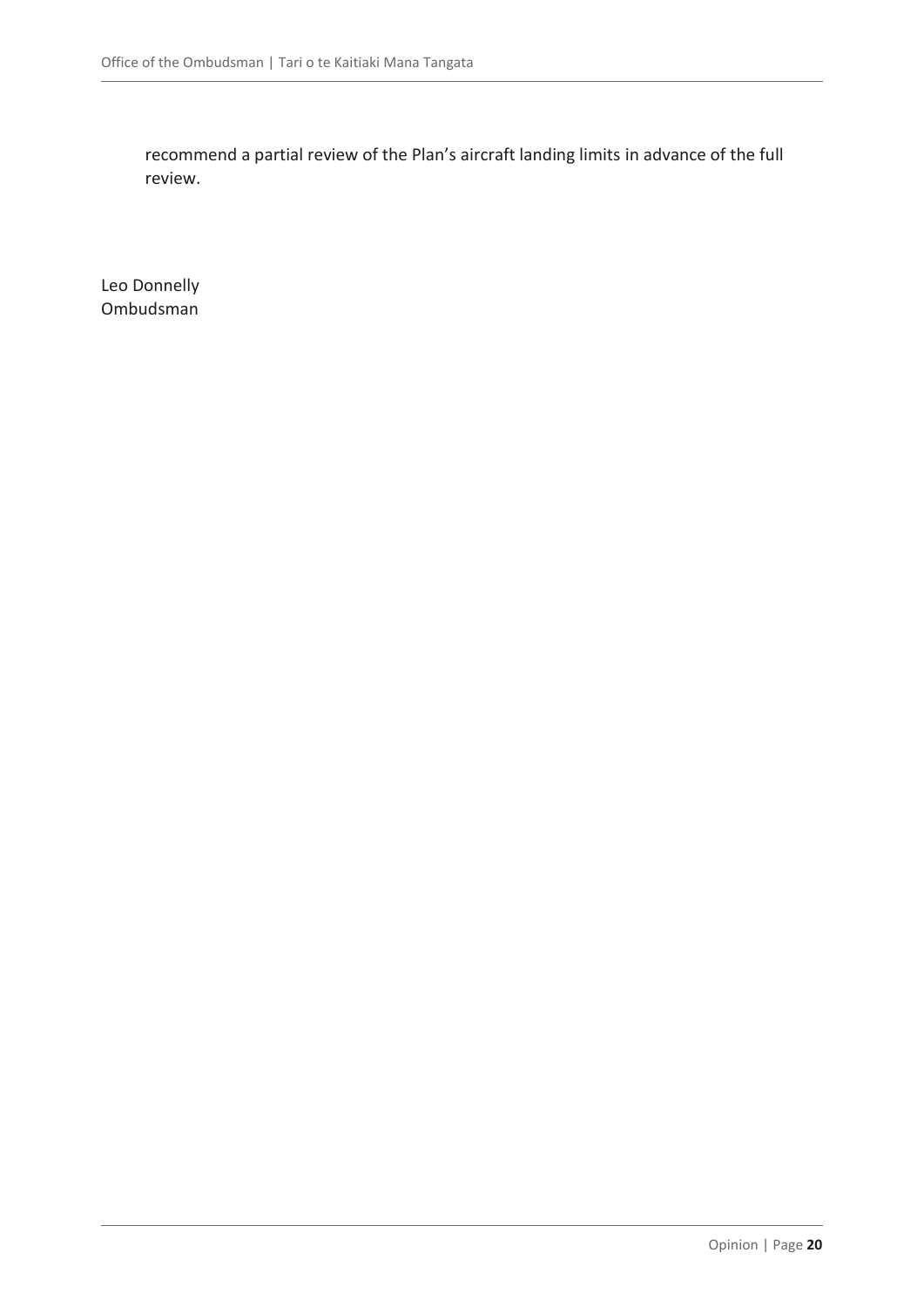recommend a partial review of the Plan's aircraft landing limits in advance of the full review.

Leo Donnelly Ombudsman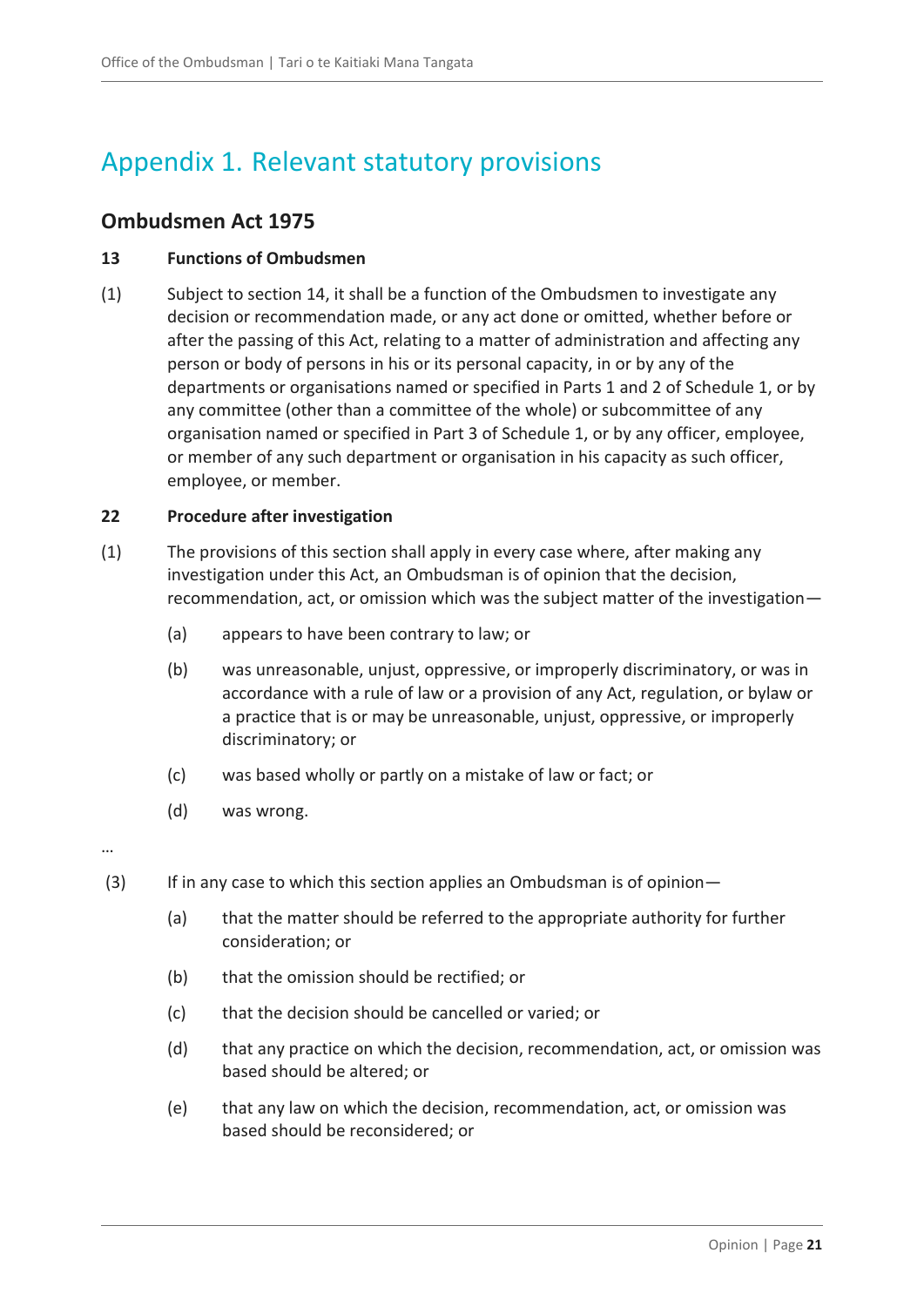# <span id="page-20-0"></span>Appendix 1. Relevant statutory provisions

### <span id="page-20-1"></span>**Ombudsmen Act 1975**

#### **13 Functions of Ombudsmen**

(1) Subject to section 14, it shall be a function of the Ombudsmen to investigate any decision or recommendation made, or any act done or omitted, whether before or after the passing of this Act, relating to a matter of administration and affecting any person or body of persons in his or its personal capacity, in or by any of the departments or organisations named or specified in Parts 1 and 2 of Schedule 1, or by any committee (other than a committee of the whole) or subcommittee of any organisation named or specified in Part 3 of Schedule 1, or by any officer, employee, or member of any such department or organisation in his capacity as such officer, employee, or member.

#### **22 Procedure after investigation**

- (1) The provisions of this section shall apply in every case where, after making any investigation under this Act, an Ombudsman is of opinion that the decision, recommendation, act, or omission which was the subject matter of the investigation—
	- (a) appears to have been contrary to law; or
	- (b) was unreasonable, unjust, oppressive, or improperly discriminatory, or was in accordance with a rule of law or a provision of any Act, regulation, or bylaw or a practice that is or may be unreasonable, unjust, oppressive, or improperly discriminatory; or
	- (c) was based wholly or partly on a mistake of law or fact; or
	- (d) was wrong.

…

- (3) If in any case to which this section applies an Ombudsman is of opinion-
	- (a) that the matter should be referred to the appropriate authority for further consideration; or
	- (b) that the omission should be rectified; or
	- (c) that the decision should be cancelled or varied; or
	- (d) that any practice on which the decision, recommendation, act, or omission was based should be altered; or
	- (e) that any law on which the decision, recommendation, act, or omission was based should be reconsidered; or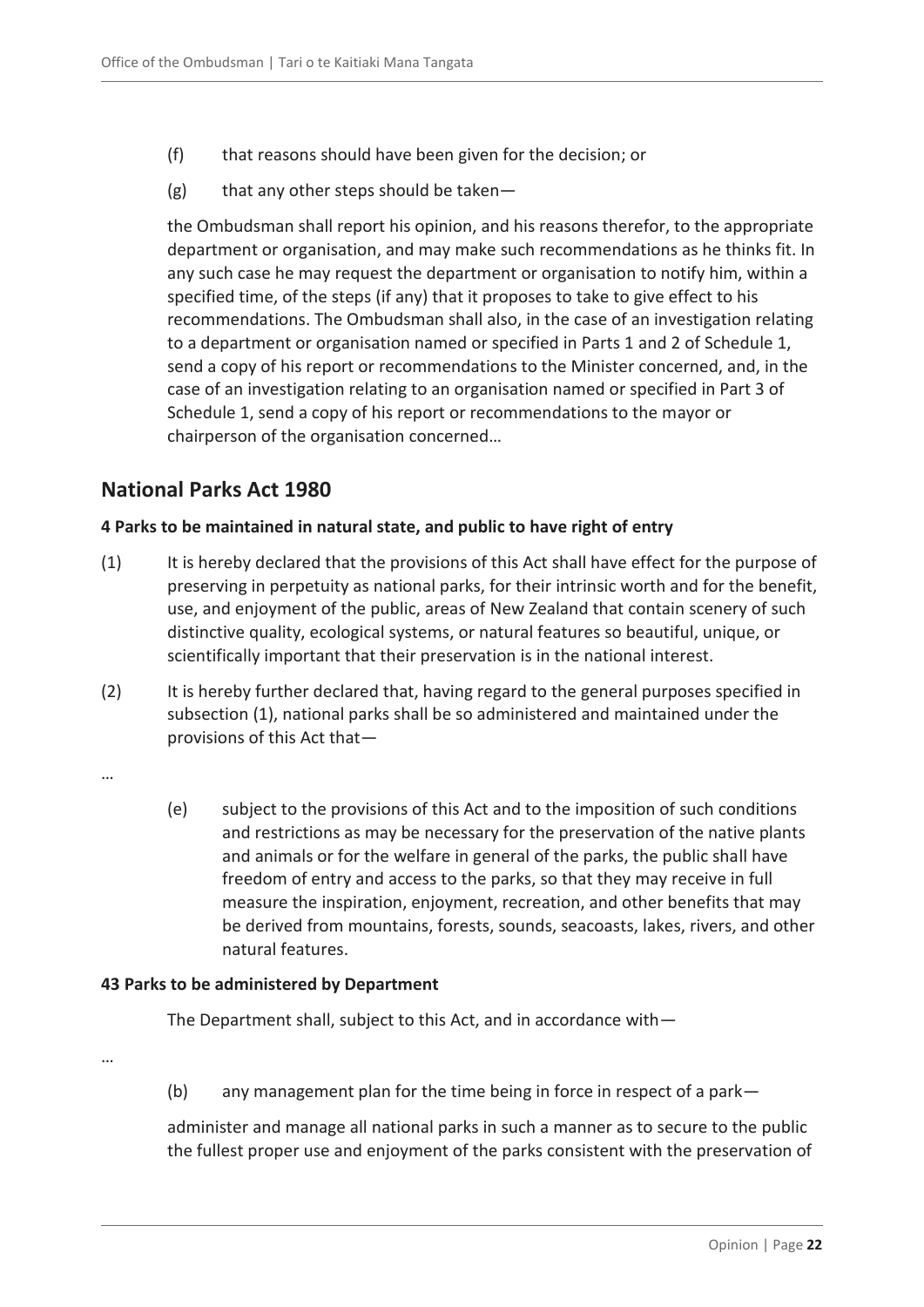- (f) that reasons should have been given for the decision; or
- $(g)$  that any other steps should be taken—

the Ombudsman shall report his opinion, and his reasons therefor, to the appropriate department or organisation, and may make such recommendations as he thinks fit. In any such case he may request the department or organisation to notify him, within a specified time, of the steps (if any) that it proposes to take to give effect to his recommendations. The Ombudsman shall also, in the case of an investigation relating to a department or organisation named or specified in Parts 1 and 2 of Schedule 1, send a copy of his report or recommendations to the Minister concerned, and, in the case of an investigation relating to an organisation named or specified in Part 3 of Schedule 1, send a copy of his report or recommendations to the mayor or chairperson of the organisation concerned…

### <span id="page-21-0"></span>**National Parks Act 1980**

#### **4 Parks to be maintained in natural state, and public to have right of entry**

- (1) It is hereby declared that the provisions of this Act shall have effect for the purpose of preserving in perpetuity as national parks, for their intrinsic worth and for the benefit, use, and enjoyment of the public, areas of New Zealand that contain scenery of such distinctive quality, ecological systems, or natural features so beautiful, unique, or scientifically important that their preservation is in the national interest.
- (2) It is hereby further declared that, having regard to the general purposes specified in subsection (1), national parks shall be so administered and maintained under the provisions of this Act that—
- …
- (e) subject to the provisions of this Act and to the imposition of such conditions and restrictions as may be necessary for the preservation of the native plants and animals or for the welfare in general of the parks, the public shall have freedom of entry and access to the parks, so that they may receive in full measure the inspiration, enjoyment, recreation, and other benefits that may be derived from mountains, forests, sounds, seacoasts, lakes, rivers, and other natural features.

#### **43 Parks to be administered by Department**

The Department shall, subject to this Act, and in accordance with—

…

(b) any management plan for the time being in force in respect of a park—

administer and manage all national parks in such a manner as to secure to the public the fullest proper use and enjoyment of the parks consistent with the preservation of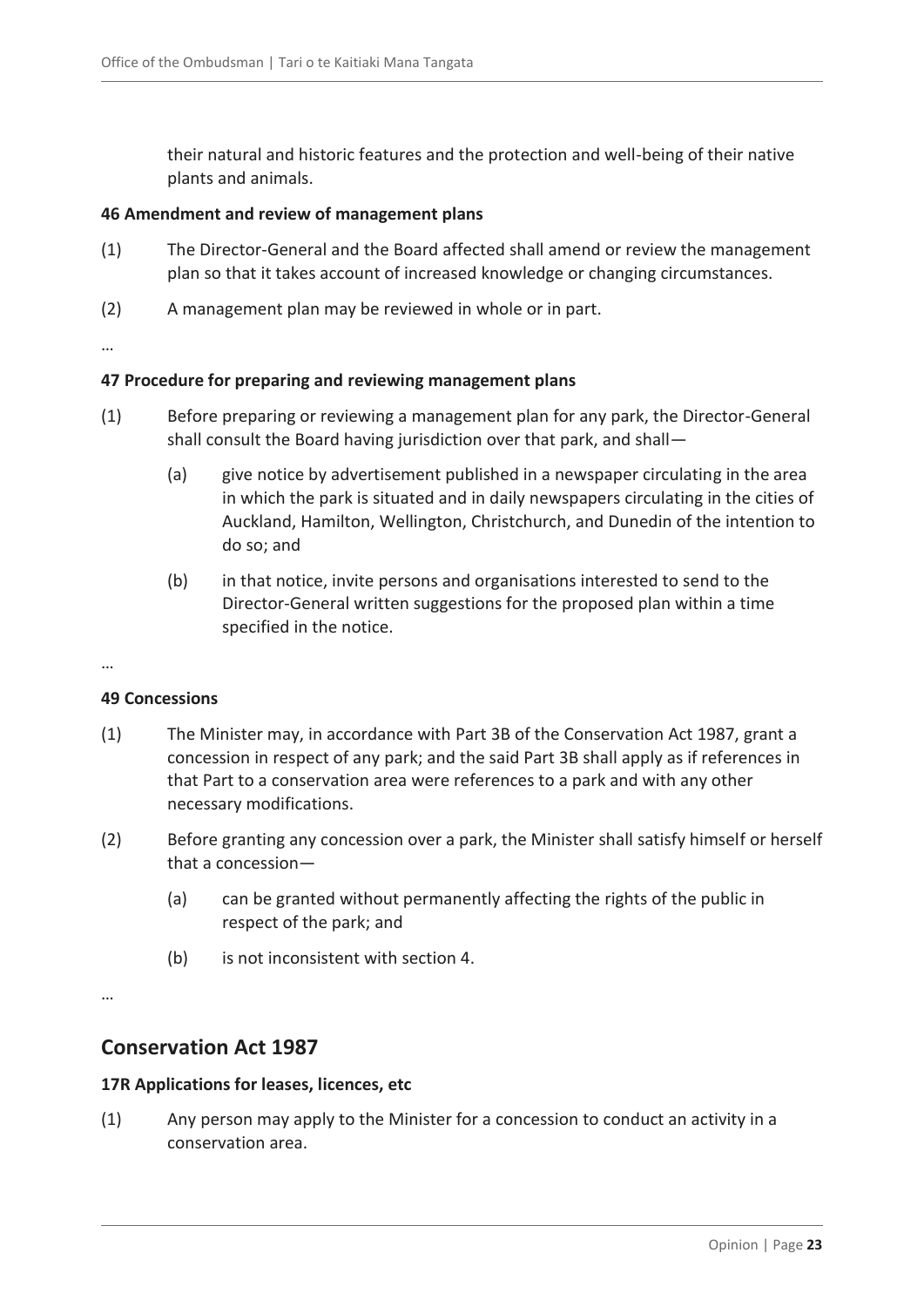their natural and historic features and the protection and well-being of their native plants and animals.

#### **46 Amendment and review of management plans**

- (1) The Director-General and the Board affected shall amend or review the management plan so that it takes account of increased knowledge or changing circumstances.
- (2) A management plan may be reviewed in whole or in part.

…

#### **47 Procedure for preparing and reviewing management plans**

- (1) Before preparing or reviewing a management plan for any park, the Director-General shall consult the Board having jurisdiction over that park, and shall—
	- (a) give notice by advertisement published in a newspaper circulating in the area in which the park is situated and in daily newspapers circulating in the cities of Auckland, Hamilton, Wellington, Christchurch, and Dunedin of the intention to do so; and
	- (b) in that notice, invite persons and organisations interested to send to the Director-General written suggestions for the proposed plan within a time specified in the notice.

#### …

#### **49 Concessions**

- (1) The Minister may, in accordance with [Part 3B](http://www.legislation.govt.nz/act/public/1980/0066/latest/link.aspx?search=qs_act%40bill%40regulation%40deemedreg_national+parks+act_resel_25_h&p=1&id=DLM104633#DLM104633) of the Conservation Act 1987, grant a concession in respect of any park; and the said Part 3B shall apply as if references in that Part to a conservation area were references to a park and with any other necessary modifications.
- (2) Before granting any concession over a park, the Minister shall satisfy himself or herself that a concession—
	- (a) can be granted without permanently affecting the rights of the public in respect of the park; and
	- (b) is not inconsistent with [section 4.](http://www.legislation.govt.nz/act/public/1980/0066/latest/link.aspx?search=qs_act%40bill%40regulation%40deemedreg_national+parks+act_resel_25_h&p=1&id=DLM37796#DLM37796)

…

#### <span id="page-22-0"></span>**Conservation Act 1987**

#### **17R Applications for leases, licences, etc**

(1) Any person may apply to the Minister for a concession to conduct an activity in a conservation area.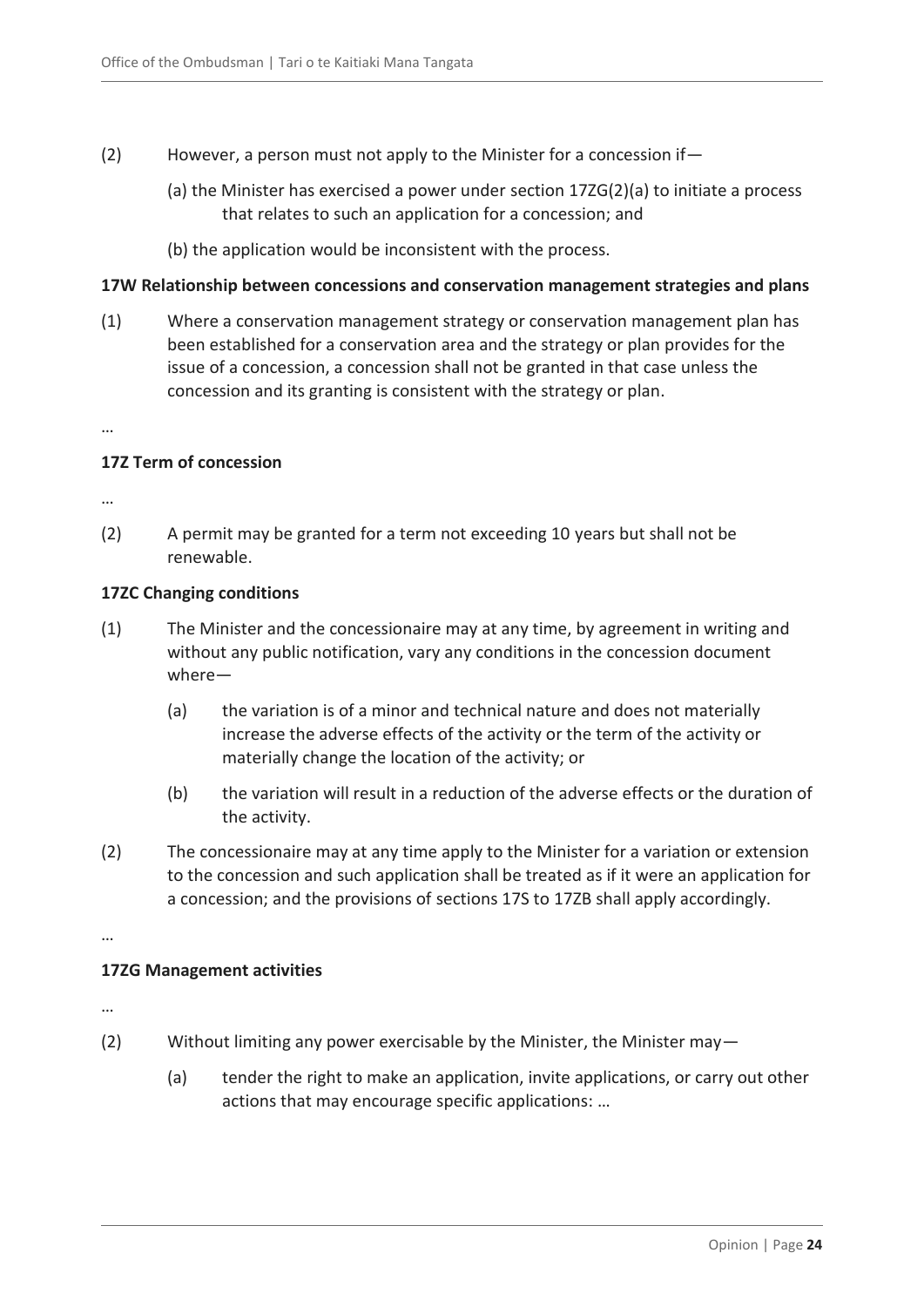- (2) However, a person must not apply to the Minister for a concession if—
	- (a) the Minister has exercised a power under [section 17ZG\(2\)\(a\)](http://www.legislation.govt.nz/act/public/1987/0065/76.0/link.aspx?id=DLM104673#DLM104673) to initiate a process that relates to such an application for a concession; and
	- (b) the application would be inconsistent with the process.

#### **17W Relationship between concessions and conservation management strategies and plans**

(1) Where a conservation management strategy or conservation management plan has been established for a conservation area and the strategy or plan provides for the issue of a concession, a concession shall not be granted in that case unless the concession and its granting is consistent with the strategy or plan.

…

#### **17Z Term of concession**

…

(2) A permit may be granted for a term not exceeding 10 years but shall not be renewable.

#### **17ZC Changing conditions**

- (1) The Minister and the concessionaire may at any time, by agreement in writing and without any public notification, vary any conditions in the concession document where—
	- (a) the variation is of a minor and technical nature and does not materially increase the adverse effects of the activity or the term of the activity or materially change the location of the activity; or
	- (b) the variation will result in a reduction of the adverse effects or the duration of the activity.
- (2) The concessionaire may at any time apply to the Minister for a variation or extension to the concession and such application shall be treated as if it were an application for a concession; and the provisions of [sections 17S to 17ZB](http://www.legislation.govt.nz/act/public/1987/0065/76.0/link.aspx?id=DLM104644#DLM104644) shall apply accordingly.

…

#### **17ZG Management activities**

…

- (2) Without limiting any power exercisable by the Minister, the Minister may—
	- (a) tender the right to make an application, invite applications, or carry out other actions that may encourage specific applications: …